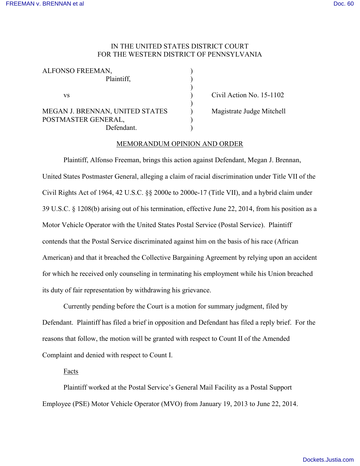## IN THE UNITED STATES DISTRICT COURT FOR THE WESTERN DISTRICT OF PENNSYLVANIA

| ALFONSO FREEMAN,                |                           |
|---------------------------------|---------------------------|
| Plaintiff.                      |                           |
|                                 |                           |
| VS                              | Civil Action No. 15-1102  |
|                                 |                           |
| MEGAN J. BRENNAN, UNITED STATES | Magistrate Judge Mitchell |
| POSTMASTER GENERAL,             |                           |

Defendant

### MEMORANDUM OPINION AND ORDER

Plaintiff, Alfonso Freeman, brings this action against Defendant, Megan J. Brennan, United States Postmaster General, alleging a claim of racial discrimination under Title VII of the Civil Rights Act of 1964, 42 U.S.C. §§ 2000e to 2000e-17 (Title VII), and a hybrid claim under 39 U.S.C. § 1208(b) arising out of his termination, effective June 22, 2014, from his position as a Motor Vehicle Operator with the United States Postal Service (Postal Service). Plaintiff contends that the Postal Service discriminated against him on the basis of his race (African American) and that it breached the Collective Bargaining Agreement by relying upon an accident for which he received only counseling in terminating his employment while his Union breached its duty of fair representation by withdrawing his grievance.

Currently pending before the Court is a motion for summary judgment, filed by Defendant. Plaintiff has filed a brief in opposition and Defendant has filed a reply brief. For the reasons that follow, the motion will be granted with respect to Count II of the Amended Complaint and denied with respect to Count I.

#### Facts

Plaintiff worked at the Postal Service's General Mail Facility as a Postal Support Employee (PSE) Motor Vehicle Operator (MVO) from January 19, 2013 to June 22, 2014.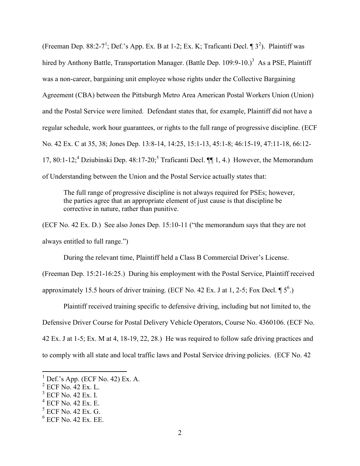(Freeman Dep. 88:2-7<sup>1</sup>; Def.'s App. Ex. B at 1-2; Ex. K; Traficanti Decl.  $\P$ 3<sup>2</sup>). Plaintiff was hired by Anthony Battle, Transportation Manager. (Battle Dep. 109:9-10.)<sup>3</sup> As a PSE, Plaintiff was a non-career, bargaining unit employee whose rights under the Collective Bargaining Agreement (CBA) between the Pittsburgh Metro Area American Postal Workers Union (Union) and the Postal Service were limited. Defendant states that, for example, Plaintiff did not have a regular schedule, work hour guarantees, or rights to the full range of progressive discipline. (ECF No. 42 Ex. C at 35, 38; Jones Dep. 13:8-14, 14:25, 15:1-13, 45:1-8; 46:15-19, 47:11-18, 66:12- 17, 80:1-12;<sup>4</sup> Dziubinski Dep. 48:17-20;<sup>5</sup> Traficanti Decl.  $\P\P$  1, 4.) However, the Memorandum of Understanding between the Union and the Postal Service actually states that:

The full range of progressive discipline is not always required for PSEs; however, the parties agree that an appropriate element of just cause is that discipline be corrective in nature, rather than punitive.

(ECF No. 42 Ex. D.) See also Jones Dep. 15:10-11 ("the memorandum says that they are not always entitled to full range.")

During the relevant time, Plaintiff held a Class B Commercial Driver's License.

(Freeman Dep. 15:21-16:25.) During his employment with the Postal Service, Plaintiff received approximately 15.5 hours of driver training. (ECF No. 42 Ex. J at 1, 2-5; Fox Decl.  $\P$  5<sup>6</sup>.)

Plaintiff received training specific to defensive driving, including but not limited to, the Defensive Driver Course for Postal Delivery Vehicle Operators, Course No. 4360106. (ECF No. 42 Ex. J at 1-5; Ex. M at 4, 18-19, 22, 28.) He was required to follow safe driving practices and to comply with all state and local traffic laws and Postal Service driving policies. (ECF No. 42

 $<sup>1</sup>$  Def.'s App. (ECF No. 42) Ex. A.</sup>

<sup>2</sup> ECF No. 42 Ex. L.

<sup>&</sup>lt;sup>3</sup> ECF No. 42 Ex. I.

<sup>4</sup> ECF No. 42 Ex. E.

<sup>5</sup> ECF No. 42 Ex. G.

<sup>6</sup> ECF No. 42 Ex. EE.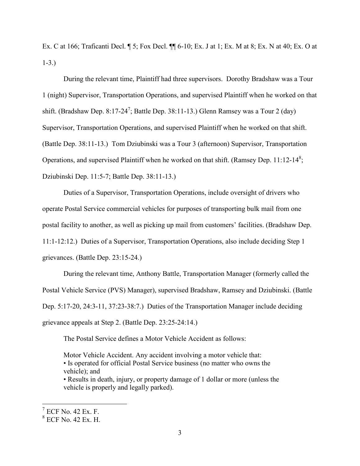Ex. C at 166; Traficanti Decl. ¶ 5; Fox Decl. ¶¶ 6-10; Ex. J at 1; Ex. M at 8; Ex. N at 40; Ex. O at 1-3.)

During the relevant time, Plaintiff had three supervisors. Dorothy Bradshaw was a Tour 1 (night) Supervisor, Transportation Operations, and supervised Plaintiff when he worked on that shift. (Bradshaw Dep. 8:17-24<sup>7</sup>; Battle Dep. 38:11-13.) Glenn Ramsey was a Tour 2 (day) Supervisor, Transportation Operations, and supervised Plaintiff when he worked on that shift. (Battle Dep. 38:11-13.) Tom Dziubinski was a Tour 3 (afternoon) Supervisor, Transportation Operations, and supervised Plaintiff when he worked on that shift. (Ramsey Dep. 11:12-14<sup>8</sup>; Dziubinski Dep. 11:5-7; Battle Dep. 38:11-13.)

Duties of a Supervisor, Transportation Operations, include oversight of drivers who operate Postal Service commercial vehicles for purposes of transporting bulk mail from one postal facility to another, as well as picking up mail from customers' facilities. (Bradshaw Dep. 11:1-12:12.) Duties of a Supervisor, Transportation Operations, also include deciding Step 1 grievances. (Battle Dep. 23:15-24.)

During the relevant time, Anthony Battle, Transportation Manager (formerly called the Postal Vehicle Service (PVS) Manager), supervised Bradshaw, Ramsey and Dziubinski. (Battle Dep. 5:17-20, 24:3-11, 37:23-38:7.) Duties of the Transportation Manager include deciding grievance appeals at Step 2. (Battle Dep. 23:25-24:14.)

The Postal Service defines a Motor Vehicle Accident as follows:

Motor Vehicle Accident. Any accident involving a motor vehicle that: • Is operated for official Postal Service business (no matter who owns the vehicle); and

• Results in death, injury, or property damage of 1 dollar or more (unless the vehicle is properly and legally parked).

 $7$  ECF No. 42 Ex. F.

<sup>8</sup> ECF No. 42 Ex. H.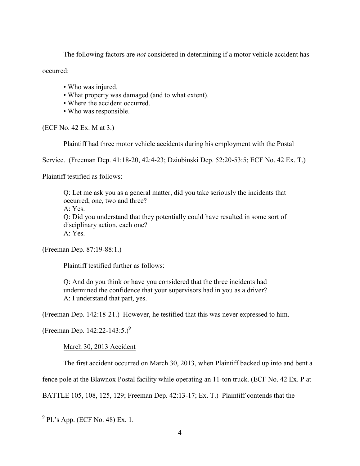The following factors are *not* considered in determining if a motor vehicle accident has

occurred:

- Who was injured.
- What property was damaged (and to what extent).
- Where the accident occurred.
- Who was responsible.

(ECF No. 42 Ex. M at 3.)

Plaintiff had three motor vehicle accidents during his employment with the Postal

Service. (Freeman Dep. 41:18-20, 42:4-23; Dziubinski Dep. 52:20-53:5; ECF No. 42 Ex. T.)

Plaintiff testified as follows:

Q: Let me ask you as a general matter, did you take seriously the incidents that occurred, one, two and three? A: Yes. Q: Did you understand that they potentially could have resulted in some sort of disciplinary action, each one? A: Yes.

(Freeman Dep. 87:19-88:1.)

Plaintiff testified further as follows:

Q: And do you think or have you considered that the three incidents had undermined the confidence that your supervisors had in you as a driver? A: I understand that part, yes.

(Freeman Dep. 142:18-21.) However, he testified that this was never expressed to him.

(Freeman Dep. 142:22-143:5.)<sup>9</sup>

March 30, 2013 Accident

The first accident occurred on March 30, 2013, when Plaintiff backed up into and bent a

fence pole at the Blawnox Postal facility while operating an 11-ton truck. (ECF No. 42 Ex. P at

BATTLE 105, 108, 125, 129; Freeman Dep. 42:13-17; Ex. T.) Plaintiff contends that the

 9 Pl.'s App. (ECF No. 48) Ex. 1.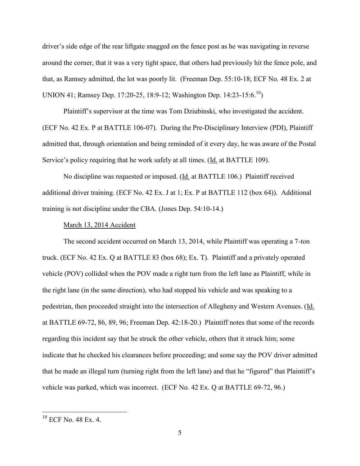driver's side edge of the rear liftgate snagged on the fence post as he was navigating in reverse around the corner, that it was a very tight space, that others had previously hit the fence pole, and that, as Ramsey admitted, the lot was poorly lit. (Freeman Dep. 55:10-18; ECF No. 48 Ex. 2 at UNION 41; Ramsey Dep. 17:20-25, 18:9-12; Washington Dep. 14:23-15:6.<sup>10</sup>)

Plaintiff's supervisor at the time was Tom Dziubinski, who investigated the accident. (ECF No. 42 Ex. P at BATTLE 106-07). During the Pre-Disciplinary Interview (PDI), Plaintiff admitted that, through orientation and being reminded of it every day, he was aware of the Postal Service's policy requiring that he work safely at all times. (Id. at BATTLE 109).

No discipline was requested or imposed. (Id. at BATTLE 106.) Plaintiff received additional driver training. (ECF No. 42 Ex. J at 1; Ex. P at BATTLE 112 (box 64)). Additional training is not discipline under the CBA. (Jones Dep. 54:10-14.)

### March 13, 2014 Accident

The second accident occurred on March 13, 2014, while Plaintiff was operating a 7-ton truck. (ECF No. 42 Ex. Q at BATTLE 83 (box 68); Ex. T). Plaintiff and a privately operated vehicle (POV) collided when the POV made a right turn from the left lane as Plaintiff, while in the right lane (in the same direction), who had stopped his vehicle and was speaking to a pedestrian, then proceeded straight into the intersection of Allegheny and Western Avenues. (Id. at BATTLE 69-72, 86, 89, 96; Freeman Dep. 42:18-20.) Plaintiff notes that some of the records regarding this incident say that he struck the other vehicle, others that it struck him; some indicate that he checked his clearances before proceeding; and some say the POV driver admitted that he made an illegal turn (turning right from the left lane) and that he "figured" that Plaintiff's vehicle was parked, which was incorrect. (ECF No. 42 Ex. Q at BATTLE 69-72, 96.)

<sup>10</sup> ECF No. 48 Ex. 4.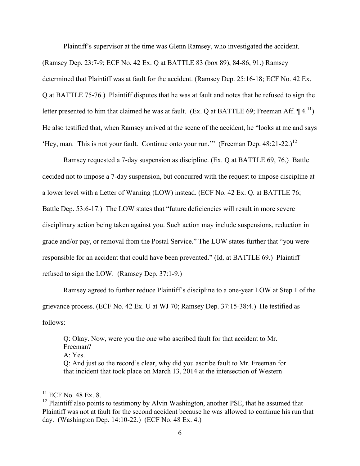Plaintiff's supervisor at the time was Glenn Ramsey, who investigated the accident.

(Ramsey Dep. 23:7-9; ECF No. 42 Ex. Q at BATTLE 83 (box 89), 84-86, 91.) Ramsey determined that Plaintiff was at fault for the accident. (Ramsey Dep. 25:16-18; ECF No. 42 Ex. Q at BATTLE 75-76.) Plaintiff disputes that he was at fault and notes that he refused to sign the letter presented to him that claimed he was at fault. (Ex. Q at BATTLE 69; Freeman Aff.  $\P$ 4.<sup>11</sup>) He also testified that, when Ramsey arrived at the scene of the accident, he "looks at me and says 'Hey, man. This is not your fault. Continue onto your run.'" (Freeman Dep.  $48:21-22$ .)<sup>12</sup>

Ramsey requested a 7-day suspension as discipline. (Ex. Q at BATTLE 69, 76.) Battle decided not to impose a 7-day suspension, but concurred with the request to impose discipline at a lower level with a Letter of Warning (LOW) instead. (ECF No. 42 Ex. Q. at BATTLE 76; Battle Dep. 53:6-17.) The LOW states that "future deficiencies will result in more severe disciplinary action being taken against you. Such action may include suspensions, reduction in grade and/or pay, or removal from the Postal Service." The LOW states further that "you were responsible for an accident that could have been prevented." (Id. at BATTLE 69.) Plaintiff refused to sign the LOW. (Ramsey Dep. 37:1-9.)

Ramsey agreed to further reduce Plaintiff's discipline to a one-year LOW at Step 1 of the grievance process. (ECF No. 42 Ex. U at WJ 70; Ramsey Dep. 37:15-38:4.) He testified as follows:

Q: Okay. Now, were you the one who ascribed fault for that accident to Mr. Freeman? A: Yes.

Q: And just so the record's clear, why did you ascribe fault to Mr. Freeman for that incident that took place on March 13, 2014 at the intersection of Western

 $11$  ECF No. 48 Ex. 8.

 $12$  Plaintiff also points to testimony by Alvin Washington, another PSE, that he assumed that Plaintiff was not at fault for the second accident because he was allowed to continue his run that day. (Washington Dep. 14:10-22.) (ECF No. 48 Ex. 4.)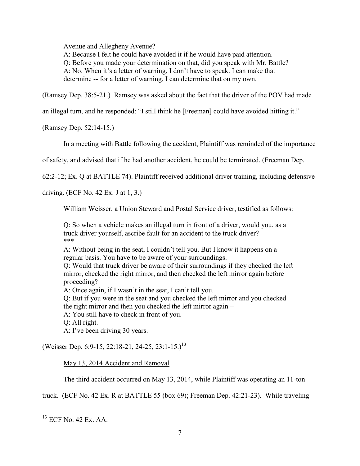Avenue and Allegheny Avenue?

A: Because I felt he could have avoided it if he would have paid attention.

Q: Before you made your determination on that, did you speak with Mr. Battle?

A: No. When it's a letter of warning, I don't have to speak. I can make that

determine -- for a letter of warning, I can determine that on my own.

(Ramsey Dep. 38:5-21.) Ramsey was asked about the fact that the driver of the POV had made

an illegal turn, and he responded: "I still think he [Freeman] could have avoided hitting it."

(Ramsey Dep. 52:14-15.)

In a meeting with Battle following the accident, Plaintiff was reminded of the importance

of safety, and advised that if he had another accident, he could be terminated. (Freeman Dep.

62:2-12; Ex. Q at BATTLE 74). Plaintiff received additional driver training, including defensive

driving. (ECF No. 42 Ex. J at 1, 3.)

William Weisser, a Union Steward and Postal Service driver, testified as follows:

Q: So when a vehicle makes an illegal turn in front of a driver, would you, as a truck driver yourself, ascribe fault for an accident to the truck driver? \*\*\*

A: Without being in the seat, I couldn't tell you. But I know it happens on a regular basis. You have to be aware of your surroundings.

Q: Would that truck driver be aware of their surroundings if they checked the left mirror, checked the right mirror, and then checked the left mirror again before proceeding?

A: Once again, if I wasn't in the seat, I can't tell you.

Q: But if you were in the seat and you checked the left mirror and you checked the right mirror and then you checked the left mirror again –

A: You still have to check in front of you.

Q: All right.

A: I've been driving 30 years.

(Weisser Dep. 6:9-15, 22:18-21, 24-25, 23:1-15.)<sup>13</sup>

May 13, 2014 Accident and Removal

The third accident occurred on May 13, 2014, while Plaintiff was operating an 11-ton

truck. (ECF No. 42 Ex. R at BATTLE 55 (box 69); Freeman Dep. 42:21-23). While traveling

<sup>13</sup> ECF No. 42 Ex. AA.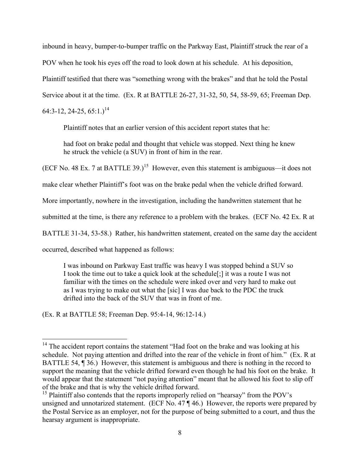inbound in heavy, bumper-to-bumper traffic on the Parkway East, Plaintiff struck the rear of a POV when he took his eyes off the road to look down at his schedule. At his deposition, Plaintiff testified that there was "something wrong with the brakes" and that he told the Postal Service about it at the time. (Ex. R at BATTLE 26-27, 31-32, 50, 54, 58-59, 65; Freeman Dep.  $64:3-12, 24-25, 65:1.$ <sup>14</sup>

Plaintiff notes that an earlier version of this accident report states that he:

had foot on brake pedal and thought that vehicle was stopped. Next thing he knew he struck the vehicle (a SUV) in front of him in the rear.

(ECF No. 48 Ex. 7 at BATTLE 39.)<sup>15</sup> However, even this statement is ambiguous—it does not

make clear whether Plaintiff's foot was on the brake pedal when the vehicle drifted forward.

More importantly, nowhere in the investigation, including the handwritten statement that he

submitted at the time, is there any reference to a problem with the brakes. (ECF No. 42 Ex. R at

BATTLE 31-34, 53-58.) Rather, his handwritten statement, created on the same day the accident

occurred, described what happened as follows:

I was inbound on Parkway East traffic was heavy I was stopped behind a SUV so I took the time out to take a quick look at the schedule[;] it was a route I was not familiar with the times on the schedule were inked over and very hard to make out as I was trying to make out what the [sic] I was due back to the PDC the truck drifted into the back of the SUV that was in front of me.

(Ex. R at BATTLE 58; Freeman Dep. 95:4-14, 96:12-14.)

 $\overline{a}$  $14$  The accident report contains the statement "Had foot on the brake and was looking at his schedule. Not paying attention and drifted into the rear of the vehicle in front of him." (Ex. R at BATTLE 54, ¶ 36.) However, this statement is ambiguous and there is nothing in the record to support the meaning that the vehicle drifted forward even though he had his foot on the brake. It would appear that the statement "not paying attention" meant that he allowed his foot to slip off of the brake and that is why the vehicle drifted forward.

<sup>&</sup>lt;sup>15</sup> Plaintiff also contends that the reports improperly relied on "hearsay" from the POV's unsigned and unnotarized statement. (ECF No. 47 ¶ 46.) However, the reports were prepared by the Postal Service as an employer, not for the purpose of being submitted to a court, and thus the hearsay argument is inappropriate.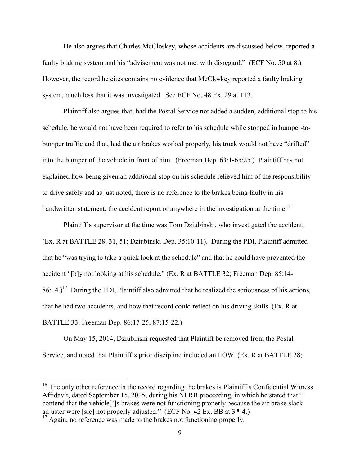He also argues that Charles McCloskey, whose accidents are discussed below, reported a faulty braking system and his "advisement was not met with disregard." (ECF No. 50 at 8.) However, the record he cites contains no evidence that McCloskey reported a faulty braking system, much less that it was investigated. See ECF No. 48 Ex. 29 at 113.

Plaintiff also argues that, had the Postal Service not added a sudden, additional stop to his schedule, he would not have been required to refer to his schedule while stopped in bumper-tobumper traffic and that, had the air brakes worked properly, his truck would not have "drifted" into the bumper of the vehicle in front of him. (Freeman Dep. 63:1-65:25.) Plaintiff has not explained how being given an additional stop on his schedule relieved him of the responsibility to drive safely and as just noted, there is no reference to the brakes being faulty in his handwritten statement, the accident report or anywhere in the investigation at the time.<sup>16</sup>

Plaintiff's supervisor at the time was Tom Dziubinski, who investigated the accident. (Ex. R at BATTLE 28, 31, 51; Dziubinski Dep. 35:10-11). During the PDI, Plaintiff admitted that he "was trying to take a quick look at the schedule" and that he could have prevented the accident "[b]y not looking at his schedule." (Ex. R at BATTLE 32; Freeman Dep. 85:14-  $86:14$ .)<sup>17</sup> During the PDI, Plaintiff also admitted that he realized the seriousness of his actions, that he had two accidents, and how that record could reflect on his driving skills. (Ex. R at BATTLE 33; Freeman Dep. 86:17-25, 87:15-22.)

On May 15, 2014, Dziubinski requested that Plaintiff be removed from the Postal Service, and noted that Plaintiff's prior discipline included an LOW. (Ex. R at BATTLE 28;

 $16$  The only other reference in the record regarding the brakes is Plaintiff's Confidential Witness Affidavit, dated September 15, 2015, during his NLRB proceeding, in which he stated that "I contend that the vehicle[']s brakes were not functioning properly because the air brake slack adjuster were [sic] not properly adjusted." (ECF No. 42 Ex. BB at  $3 \nvert 4$ .)

 $17$  Again, no reference was made to the brakes not functioning properly.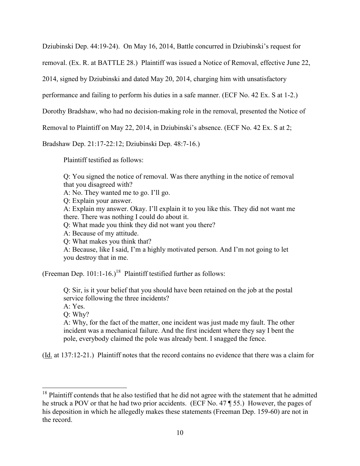Dziubinski Dep. 44:19-24). On May 16, 2014, Battle concurred in Dziubinski's request for

removal. (Ex. R. at BATTLE 28.) Plaintiff was issued a Notice of Removal, effective June 22,

2014, signed by Dziubinski and dated May 20, 2014, charging him with unsatisfactory

performance and failing to perform his duties in a safe manner. (ECF No. 42 Ex. S at 1-2.)

Dorothy Bradshaw, who had no decision-making role in the removal, presented the Notice of

Removal to Plaintiff on May 22, 2014, in Dziubinski's absence. (ECF No. 42 Ex. S at 2;

Bradshaw Dep. 21:17-22:12; Dziubinski Dep. 48:7-16.)

Plaintiff testified as follows:

Q: You signed the notice of removal. Was there anything in the notice of removal that you disagreed with?

A: No. They wanted me to go. I'll go.

Q: Explain your answer.

A: Explain my answer. Okay. I'll explain it to you like this. They did not want me there. There was nothing I could do about it.

Q: What made you think they did not want you there?

A: Because of my attitude.

Q: What makes you think that?

A: Because, like I said, I'm a highly motivated person. And I'm not going to let you destroy that in me.

(Freeman Dep. 101:1-16.)<sup>18</sup> Plaintiff testified further as follows:

Q: Sir, is it your belief that you should have been retained on the job at the postal service following the three incidents? A: Yes.

Q: Why?

 $\overline{a}$ 

A: Why, for the fact of the matter, one incident was just made my fault. The other incident was a mechanical failure. And the first incident where they say I bent the pole, everybody claimed the pole was already bent. I snagged the fence.

(Id. at 137:12-21.) Plaintiff notes that the record contains no evidence that there was a claim for

<sup>&</sup>lt;sup>18</sup> Plaintiff contends that he also testified that he did not agree with the statement that he admitted he struck a POV or that he had two prior accidents. (ECF No. 47 ¶ 55.) However, the pages of his deposition in which he allegedly makes these statements (Freeman Dep. 159-60) are not in the record.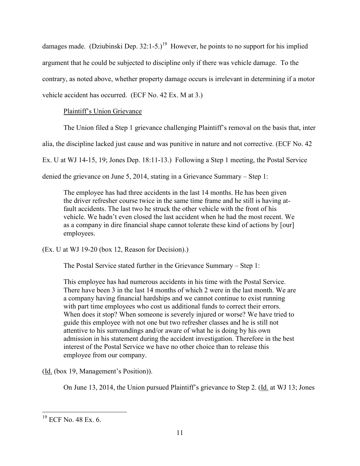damages made. (Dziubinski Dep. 32:1-5.)<sup>19</sup> However, he points to no support for his implied argument that he could be subjected to discipline only if there was vehicle damage. To the contrary, as noted above, whether property damage occurs is irrelevant in determining if a motor vehicle accident has occurred. (ECF No. 42 Ex. M at 3.)

# Plaintiff's Union Grievance

The Union filed a Step 1 grievance challenging Plaintiff's removal on the basis that, inter

alia, the discipline lacked just cause and was punitive in nature and not corrective. (ECF No. 42

Ex. U at WJ 14-15, 19; Jones Dep. 18:11-13.) Following a Step 1 meeting, the Postal Service

denied the grievance on June 5, 2014, stating in a Grievance Summary – Step 1:

The employee has had three accidents in the last 14 months. He has been given the driver refresher course twice in the same time frame and he still is having atfault accidents. The last two he struck the other vehicle with the front of his vehicle. We hadn't even closed the last accident when he had the most recent. We as a company in dire financial shape cannot tolerate these kind of actions by [our] employees.

(Ex. U at WJ 19-20 (box 12, Reason for Decision).)

The Postal Service stated further in the Grievance Summary – Step 1:

This employee has had numerous accidents in his time with the Postal Service. There have been 3 in the last 14 months of which 2 were in the last month. We are a company having financial hardships and we cannot continue to exist running with part time employees who cost us additional funds to correct their errors. When does it stop? When someone is severely injured or worse? We have tried to guide this employee with not one but two refresher classes and he is still not attentive to his surroundings and/or aware of what he is doing by his own admission in his statement during the accident investigation. Therefore in the best interest of the Postal Service we have no other choice than to release this employee from our company.

(Id. (box 19, Management's Position)).

On June 13, 2014, the Union pursued Plaintiff's grievance to Step 2. (Id. at WJ 13; Jones

<sup>&</sup>lt;sup>19</sup> ECF No. 48 Ex. 6.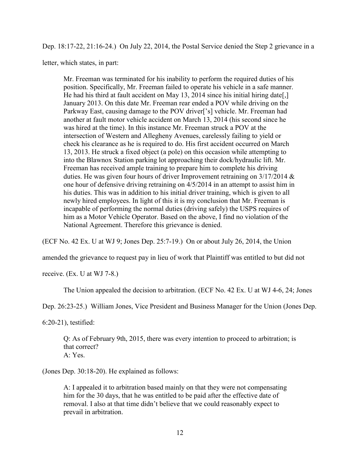Dep. 18:17-22, 21:16-24.) On July 22, 2014, the Postal Service denied the Step 2 grievance in a

letter, which states, in part:

Mr. Freeman was terminated for his inability to perform the required duties of his position. Specifically, Mr. Freeman failed to operate his vehicle in a safe manner. He had his third at fault accident on May 13, 2014 since his initial hiring date[,] January 2013. On this date Mr. Freeman rear ended a POV while driving on the Parkway East, causing damage to the POV driver['s] vehicle. Mr. Freeman had another at fault motor vehicle accident on March 13, 2014 (his second since he was hired at the time). In this instance Mr. Freeman struck a POV at the intersection of Western and Allegheny Avenues, carelessly failing to yield or check his clearance as he is required to do. His first accident occurred on March 13, 2013. He struck a fixed object (a pole) on this occasion while attempting to into the Blawnox Station parking lot approaching their dock/hydraulic lift. Mr. Freeman has received ample training to prepare him to complete his driving duties. He was given four hours of driver Improvement retraining on 3/17/2014 & one hour of defensive driving retraining on 4/5/2014 in an attempt to assist him in his duties. This was in addition to his initial driver training, which is given to all newly hired employees. In light of this it is my conclusion that Mr. Freeman is incapable of performing the normal duties (driving safely) the USPS requires of him as a Motor Vehicle Operator. Based on the above, I find no violation of the National Agreement. Therefore this grievance is denied.

(ECF No. 42 Ex. U at WJ 9; Jones Dep. 25:7-19.) On or about July 26, 2014, the Union

amended the grievance to request pay in lieu of work that Plaintiff was entitled to but did not

receive. (Ex. U at WJ 7-8.)

The Union appealed the decision to arbitration. (ECF No. 42 Ex. U at WJ 4-6, 24; Jones

Dep. 26:23-25.) William Jones, Vice President and Business Manager for the Union (Jones Dep.

6:20-21), testified:

Q: As of February 9th, 2015, there was every intention to proceed to arbitration; is that correct? A: Yes.

(Jones Dep. 30:18-20). He explained as follows:

A: I appealed it to arbitration based mainly on that they were not compensating him for the 30 days, that he was entitled to be paid after the effective date of removal. I also at that time didn't believe that we could reasonably expect to prevail in arbitration.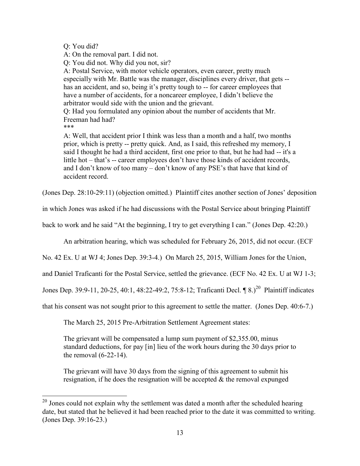Q: You did?

A: On the removal part. I did not.

Q: You did not. Why did you not, sir?

A: Postal Service, with motor vehicle operators, even career, pretty much especially with Mr. Battle was the manager, disciplines every driver, that gets - has an accident, and so, being it's pretty tough to -- for career employees that have a number of accidents, for a noncareer employee, I didn't believe the arbitrator would side with the union and the grievant.

Q: Had you formulated any opinion about the number of accidents that Mr. Freeman had had?

\*\*\*

 $\overline{a}$ 

A: Well, that accident prior I think was less than a month and a half, two months prior, which is pretty -- pretty quick. And, as I said, this refreshed my memory, I said I thought he had a third accident, first one prior to that, but he had had -- it's a little hot – that's -- career employees don't have those kinds of accident records, and I don't know of too many – don't know of any PSE's that have that kind of accident record.

(Jones Dep. 28:10-29:11) (objection omitted.) Plaintiff cites another section of Jones' deposition

in which Jones was asked if he had discussions with the Postal Service about bringing Plaintiff

back to work and he said "At the beginning, I try to get everything I can." (Jones Dep. 42:20.)

An arbitration hearing, which was scheduled for February 26, 2015, did not occur. (ECF

No. 42 Ex. U at WJ 4; Jones Dep. 39:3-4.) On March 25, 2015, William Jones for the Union,

and Daniel Traficanti for the Postal Service, settled the grievance. (ECF No. 42 Ex. U at WJ 1-3;

Jones Dep. 39:9-11, 20-25, 40:1, 48:22-49:2, 75:8-12; Traficanti Decl. ¶ 8.)<sup>20</sup> Plaintiff indicates

that his consent was not sought prior to this agreement to settle the matter. (Jones Dep. 40:6-7.)

The March 25, 2015 Pre-Arbitration Settlement Agreement states:

The grievant will be compensated a lump sum payment of \$2,355.00, minus standard deductions, for pay [in] lieu of the work hours during the 30 days prior to the removal (6-22-14).

The grievant will have 30 days from the signing of this agreement to submit his resignation, if he does the resignation will be accepted  $\&$  the removal expunged

 $20$  Jones could not explain why the settlement was dated a month after the scheduled hearing date, but stated that he believed it had been reached prior to the date it was committed to writing. (Jones Dep. 39:16-23.)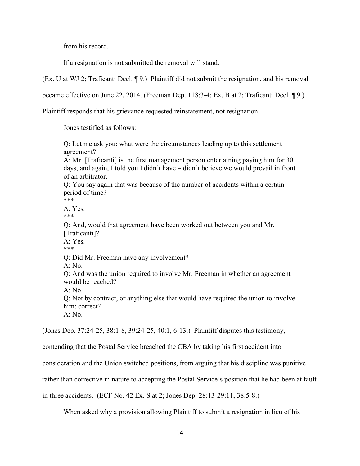from his record.

If a resignation is not submitted the removal will stand.

(Ex. U at WJ 2; Traficanti Decl. ¶ 9.) Plaintiff did not submit the resignation, and his removal

became effective on June 22, 2014. (Freeman Dep. 118:3-4; Ex. B at 2; Traficanti Decl. ¶ 9.)

Plaintiff responds that his grievance requested reinstatement, not resignation.

Jones testified as follows:

Q: Let me ask you: what were the circumstances leading up to this settlement agreement? A: Mr. [Traficanti] is the first management person entertaining paying him for 30 days, and again, I told you I didn't have – didn't believe we would prevail in front of an arbitrator. Q: You say again that was because of the number of accidents within a certain period of time? \*\*\*  $A \cdot Yes$ \*\*\* Q: And, would that agreement have been worked out between you and Mr. [Traficanti]?  $A \cdot Yes$ \*\*\* Q: Did Mr. Freeman have any involvement?  $A: No.$ Q: And was the union required to involve Mr. Freeman in whether an agreement would be reached?  $A \cdot N_0$ Q: Not by contract, or anything else that would have required the union to involve him; correct?  $A: No.$ (Jones Dep. 37:24-25, 38:1-8, 39:24-25, 40:1, 6-13.) Plaintiff disputes this testimony,

contending that the Postal Service breached the CBA by taking his first accident into

consideration and the Union switched positions, from arguing that his discipline was punitive

rather than corrective in nature to accepting the Postal Service's position that he had been at fault

in three accidents. (ECF No. 42 Ex. S at 2; Jones Dep. 28:13-29:11, 38:5-8.)

When asked why a provision allowing Plaintiff to submit a resignation in lieu of his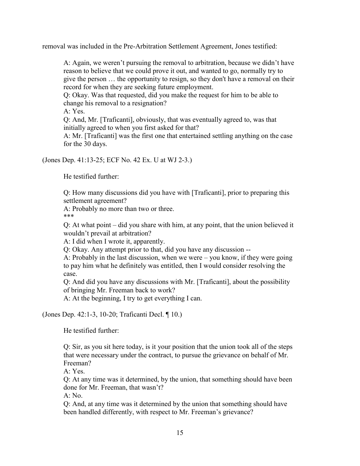removal was included in the Pre-Arbitration Settlement Agreement, Jones testified:

A: Again, we weren't pursuing the removal to arbitration, because we didn't have reason to believe that we could prove it out, and wanted to go, normally try to give the person … the opportunity to resign, so they don't have a removal on their record for when they are seeking future employment.

Q: Okay. Was that requested, did you make the request for him to be able to change his removal to a resignation?

A: Yes.

Q: And, Mr. [Traficanti], obviously, that was eventually agreed to, was that initially agreed to when you first asked for that?

A: Mr. [Traficanti] was the first one that entertained settling anything on the case for the 30 days.

(Jones Dep. 41:13-25; ECF No. 42 Ex. U at WJ 2-3.)

He testified further:

Q: How many discussions did you have with [Traficanti], prior to preparing this settlement agreement?

A: Probably no more than two or three.

\*\*\*

Q: At what point – did you share with him, at any point, that the union believed it wouldn't prevail at arbitration?

A: I did when I wrote it, apparently.

Q: Okay. Any attempt prior to that, did you have any discussion --

A: Probably in the last discussion, when we were – you know, if they were going to pay him what he definitely was entitled, then I would consider resolving the case.

Q: And did you have any discussions with Mr. [Traficanti], about the possibility of bringing Mr. Freeman back to work?

A: At the beginning, I try to get everything I can.

(Jones Dep. 42:1-3, 10-20; Traficanti Decl. ¶ 10.)

He testified further:

Q: Sir, as you sit here today, is it your position that the union took all of the steps that were necessary under the contract, to pursue the grievance on behalf of Mr. Freeman?

A: Yes.

Q: At any time was it determined, by the union, that something should have been done for Mr. Freeman, that wasn't?

A: No.

Q: And, at any time was it determined by the union that something should have been handled differently, with respect to Mr. Freeman's grievance?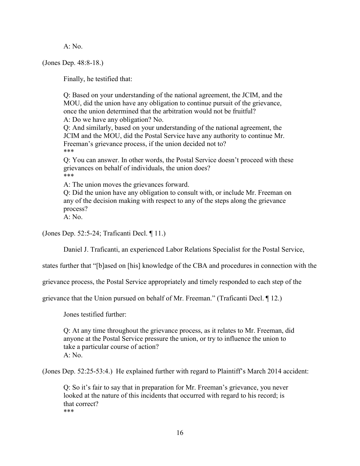A: No.

(Jones Dep. 48:8-18.)

Finally, he testified that:

Q: Based on your understanding of the national agreement, the JCIM, and the MOU, did the union have any obligation to continue pursuit of the grievance, once the union determined that the arbitration would not be fruitful? A: Do we have any obligation? No. Q: And similarly, based on your understanding of the national agreement, the JCIM and the MOU, did the Postal Service have any authority to continue Mr. Freeman's grievance process, if the union decided not to? \*\*\* Q: You can answer. In other words, the Postal Service doesn't proceed with these

grievances on behalf of individuals, the union does? \*\*\*

A: The union moves the grievances forward.

Q: Did the union have any obligation to consult with, or include Mr. Freeman on any of the decision making with respect to any of the steps along the grievance process?

A: No.

(Jones Dep. 52:5-24; Traficanti Decl. ¶ 11.)

Daniel J. Traficanti, an experienced Labor Relations Specialist for the Postal Service,

states further that "[b]ased on [his] knowledge of the CBA and procedures in connection with the

grievance process, the Postal Service appropriately and timely responded to each step of the

grievance that the Union pursued on behalf of Mr. Freeman." (Traficanti Decl. ¶ 12.)

Jones testified further:

Q: At any time throughout the grievance process, as it relates to Mr. Freeman, did anyone at the Postal Service pressure the union, or try to influence the union to take a particular course of action? A: No.

(Jones Dep. 52:25-53:4.) He explained further with regard to Plaintiff's March 2014 accident:

Q: So it's fair to say that in preparation for Mr. Freeman's grievance, you never looked at the nature of this incidents that occurred with regard to his record; is that correct? \*\*\*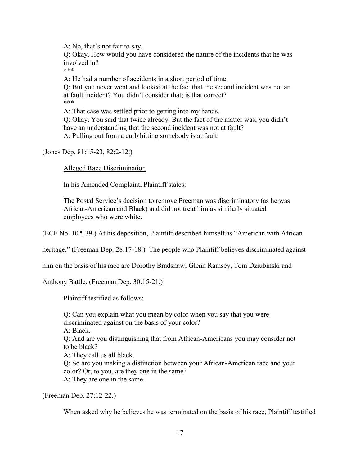A: No, that's not fair to say.

Q: Okay. How would you have considered the nature of the incidents that he was involved in?

\*\*\*

A: He had a number of accidents in a short period of time.

Q: But you never went and looked at the fact that the second incident was not an at fault incident? You didn't consider that; is that correct? \*\*\*

A: That case was settled prior to getting into my hands. Q: Okay. You said that twice already. But the fact of the matter was, you didn't have an understanding that the second incident was not at fault? A: Pulling out from a curb hitting somebody is at fault.

(Jones Dep. 81:15-23, 82:2-12.)

## Alleged Race Discrimination

In his Amended Complaint, Plaintiff states:

The Postal Service's decision to remove Freeman was discriminatory (as he was African-American and Black) and did not treat him as similarly situated employees who were white.

(ECF No. 10 ¶ 39.) At his deposition, Plaintiff described himself as "American with African

heritage." (Freeman Dep. 28:17-18.) The people who Plaintiff believes discriminated against

him on the basis of his race are Dorothy Bradshaw, Glenn Ramsey, Tom Dziubinski and

Anthony Battle. (Freeman Dep. 30:15-21.)

Plaintiff testified as follows:

Q: Can you explain what you mean by color when you say that you were discriminated against on the basis of your color? A: Black. Q: And are you distinguishing that from African-Americans you may consider not to be black? A: They call us all black. Q: So are you making a distinction between your African-American race and your color? Or, to you, are they one in the same? A: They are one in the same.

(Freeman Dep. 27:12-22.)

When asked why he believes he was terminated on the basis of his race, Plaintiff testified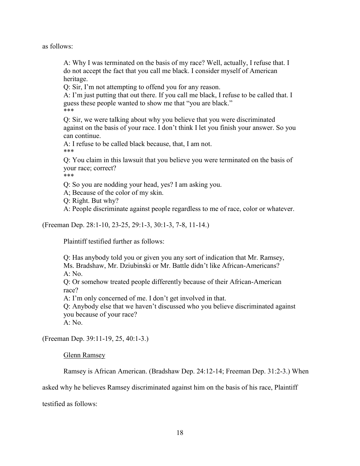as follows:

A: Why I was terminated on the basis of my race? Well, actually, I refuse that. I do not accept the fact that you call me black. I consider myself of American heritage.

Q: Sir, I'm not attempting to offend you for any reason.

A: I'm just putting that out there. If you call me black, I refuse to be called that. I guess these people wanted to show me that "you are black." \*\*\*

Q: Sir, we were talking about why you believe that you were discriminated against on the basis of your race. I don't think I let you finish your answer. So you can continue.

A: I refuse to be called black because, that, I am not. \*\*\*

Q: You claim in this lawsuit that you believe you were terminated on the basis of your race; correct?

\*\*\*

Q: So you are nodding your head, yes? I am asking you.

A; Because of the color of my skin.

Q: Right. But why?

A: People discriminate against people regardless to me of race, color or whatever.

(Freeman Dep. 28:1-10, 23-25, 29:1-3, 30:1-3, 7-8, 11-14.)

Plaintiff testified further as follows:

Q: Has anybody told you or given you any sort of indication that Mr. Ramsey, Ms. Bradshaw, Mr. Dziubinski or Mr. Battle didn't like African-Americans? A: No.

Q: Or somehow treated people differently because of their African-American race?

A: I'm only concerned of me. I don't get involved in that.

Q: Anybody else that we haven't discussed who you believe discriminated against you because of your race?

A: No.

(Freeman Dep. 39:11-19, 25, 40:1-3.)

Glenn Ramsey

Ramsey is African American. (Bradshaw Dep. 24:12-14; Freeman Dep. 31:2-3.) When

asked why he believes Ramsey discriminated against him on the basis of his race, Plaintiff

testified as follows: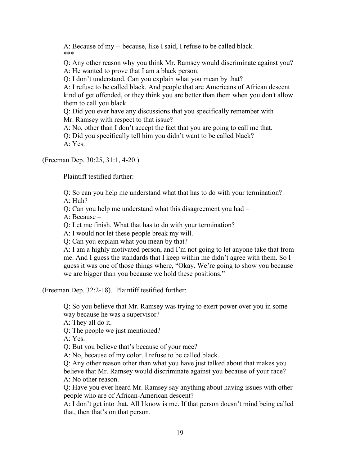A: Because of my -- because, like I said, I refuse to be called black. \*\*\*

Q: Any other reason why you think Mr. Ramsey would discriminate against you? A: He wanted to prove that I am a black person.

Q: I don't understand. Can you explain what you mean by that?

A: I refuse to be called black. And people that are Americans of African descent kind of get offended, or they think you are better than them when you don't allow them to call you black.

Q: Did you ever have any discussions that you specifically remember with Mr. Ramsey with respect to that issue?

A: No, other than I don't accept the fact that you are going to call me that.

Q: Did you specifically tell him you didn't want to be called black? A: Yes.

(Freeman Dep. 30:25, 31:1, 4-20.)

Plaintiff testified further:

Q: So can you help me understand what that has to do with your termination?

A: Huh?

Q: Can you help me understand what this disagreement you had –

A: Because –

Q: Let me finish. What that has to do with your termination?

A: I would not let these people break my will.

Q: Can you explain what you mean by that?

A: I am a highly motivated person, and I'm not going to let anyone take that from me. And I guess the standards that I keep within me didn't agree with them. So I guess it was one of those things where, "Okay. We're going to show you because we are bigger than you because we hold these positions."

(Freeman Dep. 32:2-18). Plaintiff testified further:

Q: So you believe that Mr. Ramsey was trying to exert power over you in some way because he was a supervisor?

A: They all do it.

Q: The people we just mentioned?

A: Yes.

Q: But you believe that's because of your race?

A: No, because of my color. I refuse to be called black.

Q: Any other reason other than what you have just talked about that makes you believe that Mr. Ramsey would discriminate against you because of your race? A: No other reason.

Q: Have you ever heard Mr. Ramsey say anything about having issues with other people who are of African-American descent?

A: I don't get into that. All I know is me. If that person doesn't mind being called that, then that's on that person.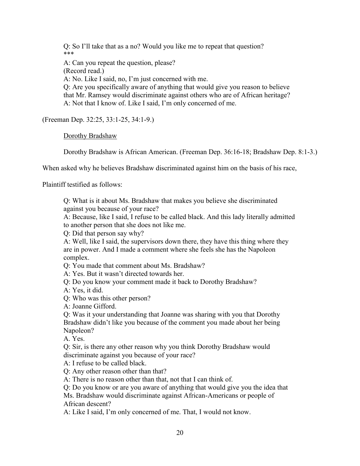Q: So I'll take that as a no? Would you like me to repeat that question? \*\*\*

A: Can you repeat the question, please? (Record read.) A: No. Like I said, no, I'm just concerned with me. Q: Are you specifically aware of anything that would give you reason to believe that Mr. Ramsey would discriminate against others who are of African heritage? A: Not that I know of. Like I said, I'm only concerned of me.

(Freeman Dep. 32:25, 33:1-25, 34:1-9.)

Dorothy Bradshaw

Dorothy Bradshaw is African American. (Freeman Dep. 36:16-18; Bradshaw Dep. 8:1-3.)

When asked why he believes Bradshaw discriminated against him on the basis of his race,

Plaintiff testified as follows:

Q: What is it about Ms. Bradshaw that makes you believe she discriminated against you because of your race?

A: Because, like I said, I refuse to be called black. And this lady literally admitted to another person that she does not like me.

Q: Did that person say why?

A: Well, like I said, the supervisors down there, they have this thing where they are in power. And I made a comment where she feels she has the Napoleon complex.

Q: You made that comment about Ms. Bradshaw?

A: Yes. But it wasn't directed towards her.

Q: Do you know your comment made it back to Dorothy Bradshaw?

A: Yes, it did.

Q: Who was this other person?

A: Joanne Gifford.

Q: Was it your understanding that Joanne was sharing with you that Dorothy Bradshaw didn't like you because of the comment you made about her being Napoleon?

A. Yes.

Q: Sir, is there any other reason why you think Dorothy Bradshaw would discriminate against you because of your race?

A: I refuse to be called black.

Q: Any other reason other than that?

A: There is no reason other than that, not that I can think of.

Q: Do you know or are you aware of anything that would give you the idea that

Ms. Bradshaw would discriminate against African-Americans or people of African descent?

A: Like I said, I'm only concerned of me. That, I would not know.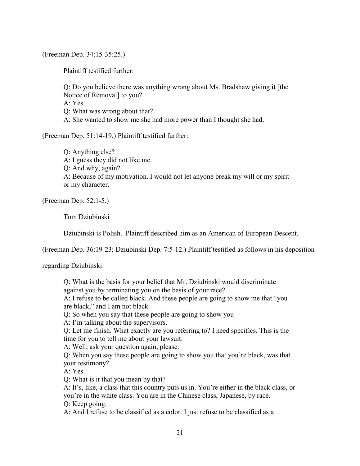(Freeman Dep. 34:15-35:25.)

Plaintiff testified further:

Q: Do you believe there was anything wrong about Ms. Bradshaw giving it [the Notice of Removal] to you? A: Yes. Q: What was wrong about that? A: She wanted to show me she had more power than I thought she had.

(Freeman Dep. 51:14-19.) Plaintiff testified further:

Q: Anything else? A: I guess they did not like me. Q: And why, again? A: Because of my motivation. I would not let anyone break my will or my spirit or my character.

(Freeman Dep. 52:1-5.)

## Tom Dziubinski

Dziubinski is Polish. Plaintiff described him as an American of European Descent.

(Freeman Dep. 36:19-23; Dziubinski Dep. 7:5-12.) Plaintiff testified as follows in his deposition

regarding Dziubinski:

Q: What is the basis for your belief that Mr. Dziubinski would discriminate against you by terminating you on the basis of your race?

A: I refuse to be called black. And these people are going to show me that "you are black," and I am not black.

Q: So when you say that these people are going to show you –

A: I'm talking about the supervisors.

Q: Let me finish. What exactly are you referring to? I need specifics. This is the time for you to tell me about your lawsuit.

A: Well, ask your question again, please.

Q: When you say these people are going to show you that you're black, was that your testimony?

A: Yes.

Q: What is it that you mean by that?

A: It's, like, a class that this country puts us in. You're either in the black class, or you're in the white class. You are in the Chinese class, Japanese, by race. Q: Keep going.

A: And I refuse to be classified as a color. I just refuse to be classified as a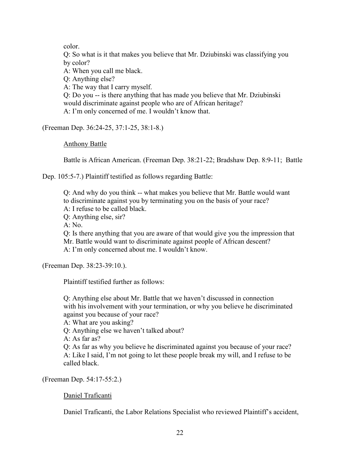color.

Q: So what is it that makes you believe that Mr. Dziubinski was classifying you by color?

A: When you call me black.

Q: Anything else?

A: The way that I carry myself.

Q: Do you -- is there anything that has made you believe that Mr. Dziubinski would discriminate against people who are of African heritage? A: I'm only concerned of me. I wouldn't know that.

(Freeman Dep. 36:24-25, 37:1-25, 38:1-8.)

Anthony Battle

Battle is African American. (Freeman Dep. 38:21-22; Bradshaw Dep. 8:9-11; Battle

Dep. 105:5-7.) Plaintiff testified as follows regarding Battle:

Q: And why do you think -- what makes you believe that Mr. Battle would want to discriminate against you by terminating you on the basis of your race? A: I refuse to be called black.

Q: Anything else, sir?

 $A \cdot N_0$ 

Q: Is there anything that you are aware of that would give you the impression that Mr. Battle would want to discriminate against people of African descent? A: I'm only concerned about me. I wouldn't know.

(Freeman Dep. 38:23-39:10.).

Plaintiff testified further as follows:

Q: Anything else about Mr. Battle that we haven't discussed in connection with his involvement with your termination, or why you believe he discriminated against you because of your race?

A: What are you asking?

Q: Anything else we haven't talked about?

A: As far as?

Q: As far as why you believe he discriminated against you because of your race? A: Like I said, I'm not going to let these people break my will, and I refuse to be called black.

(Freeman Dep. 54:17-55:2.)

Daniel Traficanti

Daniel Traficanti, the Labor Relations Specialist who reviewed Plaintiff's accident,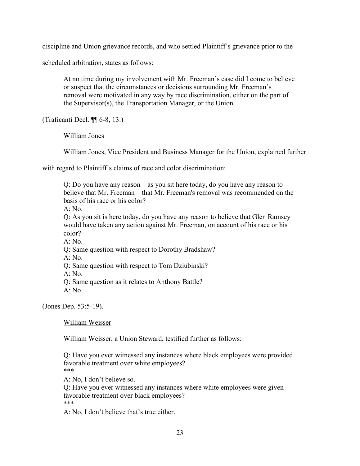discipline and Union grievance records, and who settled Plaintiff's grievance prior to the

scheduled arbitration, states as follows:

At no time during my involvement with Mr. Freeman's case did I come to believe or suspect that the circumstances or decisions surrounding Mr. Freeman's removal were motivated in any way by race discrimination, either on the part of the Supervisor(s), the Transportation Manager, or the Union.

(Traficanti Decl. ¶¶ 6-8, 13.)

William Jones

William Jones, Vice President and Business Manager for the Union, explained further

with regard to Plaintiff's claims of race and color discrimination:

Q: Do you have any reason – as you sit here today, do you have any reason to believe that Mr. Freeman – that Mr. Freeman's removal was recommended on the basis of his race or his color?

 $A \cdot No$ 

Q: As you sit is here today, do you have any reason to believe that Glen Ramsey would have taken any action against Mr. Freeman, on account of his race or his color?

 $A: No$ .

Q: Same question with respect to Dorothy Bradshaw?

 $A \cdot No$ 

Q: Same question with respect to Tom Dziubinski?

A: No.

Q: Same question as it relates to Anthony Battle?

 $A: No.$ 

(Jones Dep. 53:5-19).

William Weisser

William Weisser, a Union Steward, testified further as follows:

Q: Have you ever witnessed any instances where black employees were provided favorable treatment over white employees? \*\*\*

A: No, I don't believe so.

Q: Have you ever witnessed any instances where white employees were given favorable treatment over black employees? \*\*\*

A: No, I don't believe that's true either.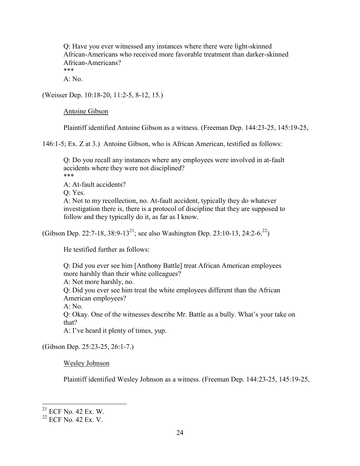Q: Have you ever witnessed any instances where there were light-skinned African-Americans who received more favorable treatment than darker-skinned African-Americans?

\*\*\*

A: No.

(Weisser Dep. 10:18-20, 11:2-5, 8-12, 15.)

Antoine Gibson

Plaintiff identified Antoine Gibson as a witness. (Freeman Dep. 144:23-25, 145:19-25,

146:1-5; Ex. Z at 3.) Antoine Gibson, who is African American, testified as follows:

Q: Do you recall any instances where any employees were involved in at-fault accidents where they were not disciplined? \*\*\*

A: At-fault accidents?

Q: Yes.

A: Not to my recollection, no. At-fault accident, typically they do whatever investigation there is, there is a protocol of discipline that they are supposed to follow and they typically do it, as far as I know.

(Gibson Dep. 22:7-18, 38:9-13<sup>21</sup>; see also Washington Dep. 23:10-13, 24:2-6.<sup>22</sup>)

He testified further as follows:

Q: Did you ever see him [Anthony Battle] treat African American employees more harshly than their white colleagues? A: Not more harshly, no. Q: Did you ever see him treat the white employees different than the African American employees? A: No. Q: Okay. One of the witnesses describe Mr. Battle as a bully. What's your take on that? A: I've heard it plenty of times, yup.

(Gibson Dep. 25:23-25, 26:1-7.)

Wesley Johnson

Plaintiff identified Wesley Johnson as a witness. (Freeman Dep. 144:23-25, 145:19-25,

 $21$  ECF No. 42 Ex. W.

<sup>22</sup> ECF No. 42 Ex. V.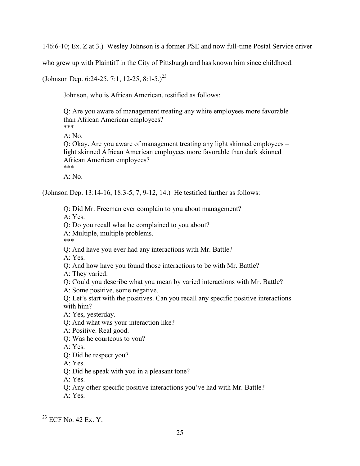146:6-10; Ex. Z at 3.) Wesley Johnson is a former PSE and now full-time Postal Service driver

who grew up with Plaintiff in the City of Pittsburgh and has known him since childhood.

(Johnson Dep. 6:24-25, 7:1, 12-25, 8:1-5.)<sup>23</sup>

Johnson, who is African American, testified as follows:

Q: Are you aware of management treating any white employees more favorable than African American employees? \*\*\*

A: No.

Q: Okay. Are you aware of management treating any light skinned employees – light skinned African American employees more favorable than dark skinned African American employees? \*\*\*

 $A: No$ .

(Johnson Dep. 13:14-16, 18:3-5, 7, 9-12, 14.) He testified further as follows:

Q: Did Mr. Freeman ever complain to you about management?

A: Yes.

Q: Do you recall what he complained to you about?

A: Multiple, multiple problems.

\*\*\*

Q: And have you ever had any interactions with Mr. Battle?

A: Yes.

Q: And how have you found those interactions to be with Mr. Battle?

A: They varied.

Q: Could you describe what you mean by varied interactions with Mr. Battle?

A: Some positive, some negative.

Q: Let's start with the positives. Can you recall any specific positive interactions with him?

A: Yes, yesterday.

Q: And what was your interaction like?

A: Positive. Real good.

Q: Was he courteous to you?

A: Yes.

Q: Did he respect you?

A: Yes.

Q: Did he speak with you in a pleasant tone?

A: Yes.

Q: Any other specific positive interactions you've had with Mr. Battle?

A: Yes.

<sup>&</sup>lt;sup>23</sup> ECF No. 42 Ex. Y.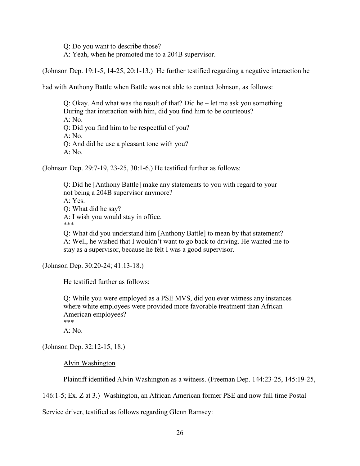Q: Do you want to describe those?

A: Yeah, when he promoted me to a 204B supervisor.

(Johnson Dep. 19:1-5, 14-25, 20:1-13.) He further testified regarding a negative interaction he

had with Anthony Battle when Battle was not able to contact Johnson, as follows:

Q: Okay. And what was the result of that? Did he – let me ask you something. During that interaction with him, did you find him to be courteous? A: No. Q: Did you find him to be respectful of you? A: No. Q: And did he use a pleasant tone with you? A: No.

(Johnson Dep. 29:7-19, 23-25, 30:1-6.) He testified further as follows:

Q: Did he [Anthony Battle] make any statements to you with regard to your not being a 204B supervisor anymore?  $A \cdot Yes$ Q: What did he say? A: I wish you would stay in office. \*\*\*

Q: What did you understand him [Anthony Battle] to mean by that statement? A: Well, he wished that I wouldn't want to go back to driving. He wanted me to stay as a supervisor, because he felt I was a good supervisor.

(Johnson Dep. 30:20-24; 41:13-18.)

He testified further as follows:

Q: While you were employed as a PSE MVS, did you ever witness any instances where white employees were provided more favorable treatment than African American employees? \*\*\*

 $A: No.$ 

(Johnson Dep. 32:12-15, 18.)

Alvin Washington

Plaintiff identified Alvin Washington as a witness. (Freeman Dep. 144:23-25, 145:19-25,

146:1-5; Ex. Z at 3.) Washington, an African American former PSE and now full time Postal

Service driver, testified as follows regarding Glenn Ramsey: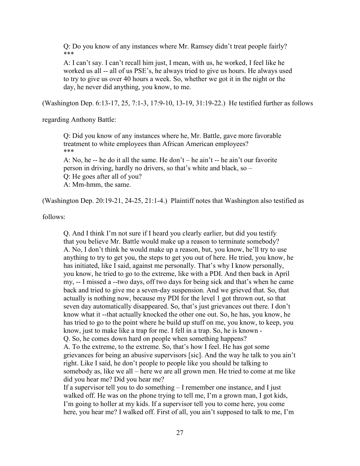Q: Do you know of any instances where Mr. Ramsey didn't treat people fairly? \*\*\*

A: I can't say. I can't recall him just, I mean, with us, he worked, I feel like he worked us all -- all of us PSE's, he always tried to give us hours. He always used to try to give us over 40 hours a week. So, whether we got it in the night or the day, he never did anything, you know, to me.

(Washington Dep. 6:13-17, 25, 7:1-3, 17:9-10, 13-19, 31:19-22.) He testified further as follows

regarding Anthony Battle:

Q: Did you know of any instances where he, Mr. Battle, gave more favorable treatment to white employees than African American employees? \*\*\*

A: No, he -- he do it all the same. He don't – he ain't -- he ain't our favorite person in driving, hardly no drivers, so that's white and black, so – Q: He goes after all of you? A: Mm-hmm, the same.

(Washington Dep. 20:19-21, 24-25, 21:1-4.) Plaintiff notes that Washington also testified as

follows:

Q. And I think I'm not sure if I heard you clearly earlier, but did you testify that you believe Mr. Battle would make up a reason to terminate somebody? A. No, I don't think he would make up a reason, but, you know, he'll try to use anything to try to get you, the steps to get you out of here. He tried, you know, he has initiated, like I said, against me personally. That's why I know personally, you know, he tried to go to the extreme, like with a PDI. And then back in April my, -- I missed a --two days, off two days for being sick and that's when he came back and tried to give me a seven-day suspension. And we grieved that. So, that actually is nothing now, because my PDI for the level 1 got thrown out, so that seven day automatically disappeared. So, that's just grievances out there. I don't know what it --that actually knocked the other one out. So, he has, you know, he has tried to go to the point where he build up stuff on me, you know, to keep, you know, just to make like a trap for me. I fell in a trap. So, he is known - Q. So, he comes down hard on people when something happens? A. To the extreme, to the extreme. So, that's how I feel. He has got some grievances for being an abusive supervisors [sic]. And the way he talk to you ain't

right. Like I said, he don't people to people like you should be talking to somebody as, like we all – here we are all grown men. He tried to come at me like did you hear me? Did you hear me?

If a supervisor tell you to do something – I remember one instance, and I just walked off. He was on the phone trying to tell me, I'm a grown man, I got kids, I'm going to holler at my kids. If a supervisor tell you to come here, you come here, you hear me? I walked off. First of all, you ain't supposed to talk to me, I'm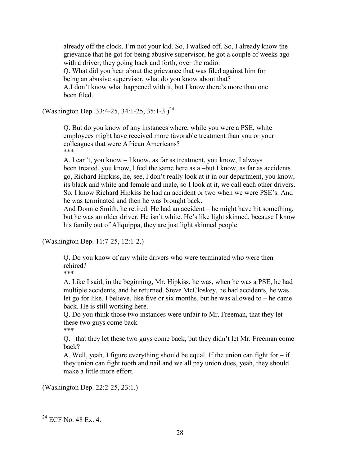already off the clock. I'm not your kid. So, I walked off. So, I already know the grievance that he got for being abusive supervisor, he got a couple of weeks ago with a driver, they going back and forth, over the radio.

Q. What did you hear about the grievance that was filed against him for being an abusive supervisor, what do you know about that?

A.I don't know what happened with it, but I know there's more than one been filed.

(Washington Dep. 33:4-25, 34:1-25, 35:1-3.)<sup>24</sup>

Q. But do you know of any instances where, while you were a PSE, white employees might have received more favorable treatment than you or your colleagues that were African Americans? \*\*\*

A. I can't, you know – I know, as far as treatment, you know, I always been treated, you know, l feel the same here as a –but I know, as far as accidents go, Richard Hipkiss, he, see, I don't really look at it in our department, you know, its black and white and female and male, so I look at it, we call each other drivers. So, I know Richard Hipkiss he had an accident or two when we were PSE's. And he was terminated and then he was brought back.

And Donnie Smith, he retired. He had an accident – he might have hit something, but he was an older driver. He isn't white. He's like light skinned, because I know his family out of Aliquippa, they are just light skinned people.

(Washington Dep. 11:7-25, 12:1-2.)

Q. Do you know of any white drivers who were terminated who were then rehired?

\*\*\*

A. Like I said, in the beginning, Mr. Hipkiss, he was, when he was a PSE, he had multiple accidents, and he returned. Steve McCloskey, he had accidents, he was let go for like, I believe, like five or six months, but he was allowed to – he came back. He is still working here.

Q. Do you think those two instances were unfair to Mr. Freeman, that they let these two guys come back – \*\*\*

Q.– that they let these two guys come back, but they didn't let Mr. Freeman come back?

A. Well, yeah, I figure everything should be equal. If the union can fight for  $-$  if they union can fight tooth and nail and we all pay union dues, yeah, they should make a little more effort.

(Washington Dep. 22:2-25, 23:1.)

 $\overline{a}$  $^{24}$  ECF No. 48 Ex. 4.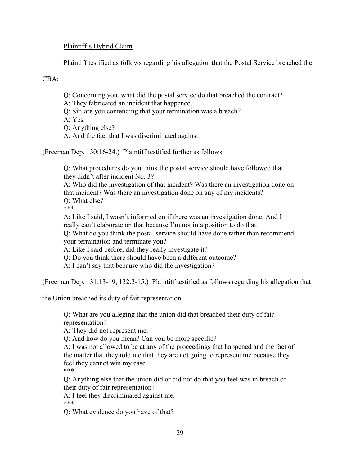## Plaintiff's Hybrid Claim

Plaintiff testified as follows regarding his allegation that the Postal Service breached the

CBA:

- Q: Concerning you, what did the postal service do that breached the contract?
- A: They fabricated an incident that happened.
- Q: Sir, are you contending that your termination was a breach?

A: Yes.

Q: Anything else?

A: And the fact that I was discriminated against.

(Freeman Dep. 130:16-24.) Plaintiff testified further as follows:

Q: What procedures do you think the postal service should have followed that they didn't after incident No. 3?

A: Who did the investigation of that incident? Was there an investigation done on that incident? Was there an investigation done on any of my incidents? Q: What else?

\*\*\*

A: Like I said, I wasn't informed on if there was an investigation done. And I really can't elaborate on that because I'm not in a position to do that. Q: What do you think the postal service should have done rather than recommend your termination and terminate you?

A: Like I said before, did they really investigate it?

Q: Do you think there should have been a different outcome?

A: I can't say that because who did the investigation?

(Freeman Dep. 131:13-19, 132:3-15.) Plaintiff testified as follows regarding his allegation that

the Union breached its duty of fair representation:

Q: What are you alleging that the union did that breached their duty of fair representation?

A: They did not represent me.

Q: And how do you mean? Can you be more specific?

A: I was not allowed to be at any of the proceedings that happened and the fact of the matter that they told me that they are not going to represent me because they feel they cannot win my case. \*\*\*

Q: Anything else that the union did or did not do that you feel was in breach of their duty of fair representation?

A: I feel they discriminated against me.

\*\*\*

Q: What evidence do you have of that?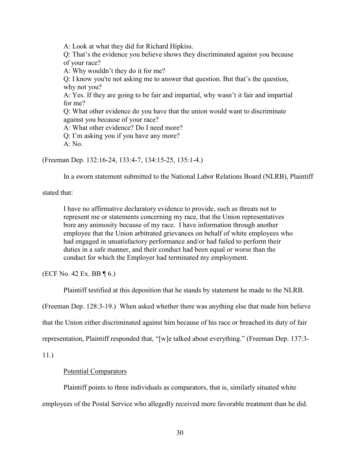A: Look at what they did for Richard Hipkiss.

Q: That's the evidence you believe shows they discriminated against you because of your race?

A: Why wouldn't they do it for me?

Q: I know you're not asking me to answer that question. But that's the question, why not you?

A: Yes. If they are going to be fair and impartial, why wasn't it fair and impartial for me?

Q: What other evidence do you have that the union would want to discriminate against you because of your race?

A: What other evidence? Do I need more?

Q: I'm asking you if you have any more?

 $A: No$ .

(Freeman Dep. 132:16-24, 133:4-7, 134:15-25, 135:1-4.)

In a sworn statement submitted to the National Labor Relations Board (NLRB), Plaintiff

stated that:

I have no affirmative declaratory evidence to provide, such as threats not to represent me or statements concerning my race, that the Union representatives bore any animosity because of my race. I have information through another employee that the Union arbitrated grievances on behalf of white employees who had engaged in unsatisfactory performance and/or had failed to perform their duties in a safe manner, and their conduct had been equal or worse than the conduct for which the Employer had terminated my employment.

(ECF No. 42 Ex. BB  $\P$  6.)

Plaintiff testified at this deposition that he stands by statement he made to the NLRB.

(Freeman Dep. 128:3-19.) When asked whether there was anything else that made him believe

that the Union either discriminated against him because of his race or breached its duty of fair

representation, Plaintiff responded that, "[w]e talked about everything." (Freeman Dep. 137:3-

11.)

## Potential Comparators

Plaintiff points to three individuals as comparators, that is, similarly situated white employees of the Postal Service who allegedly received more favorable treatment than he did.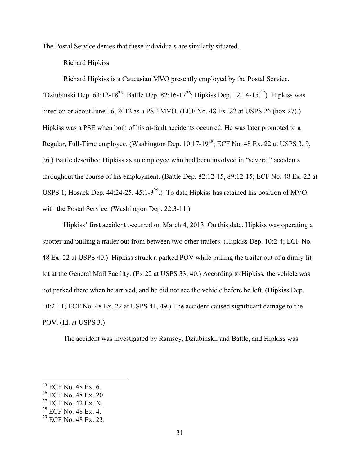The Postal Service denies that these individuals are similarly situated.

### Richard Hipkiss

Richard Hipkiss is a Caucasian MVO presently employed by the Postal Service. (Dziubinski Dep. 63:12-18<sup>25</sup>; Battle Dep. 82:16-17<sup>26</sup>; Hipkiss Dep. 12:14-15.<sup>27</sup>) Hipkiss was hired on or about June 16, 2012 as a PSE MVO. (ECF No. 48 Ex. 22 at USPS 26 (box 27).) Hipkiss was a PSE when both of his at-fault accidents occurred. He was later promoted to a Regular, Full-Time employee. (Washington Dep.  $10:17-19^{28}$ ; ECF No. 48 Ex. 22 at USPS 3, 9, 26.) Battle described Hipkiss as an employee who had been involved in "several" accidents throughout the course of his employment. (Battle Dep. 82:12-15, 89:12-15; ECF No. 48 Ex. 22 at USPS 1; Hosack Dep. 44:24-25, 45:1-3<sup>29</sup>.) To date Hipkiss has retained his position of MVO with the Postal Service. (Washington Dep. 22:3-11.)

Hipkiss' first accident occurred on March 4, 2013. On this date, Hipkiss was operating a spotter and pulling a trailer out from between two other trailers. (Hipkiss Dep. 10:2-4; ECF No. 48 Ex. 22 at USPS 40.) Hipkiss struck a parked POV while pulling the trailer out of a dimly-lit lot at the General Mail Facility. (Ex 22 at USPS 33, 40.) According to Hipkiss, the vehicle was not parked there when he arrived, and he did not see the vehicle before he left. (Hipkiss Dep. 10:2-11; ECF No. 48 Ex. 22 at USPS 41, 49.) The accident caused significant damage to the POV. (Id. at USPS 3.)

The accident was investigated by Ramsey, Dziubinski, and Battle, and Hipkiss was

 $25$  ECF No. 48 Ex. 6.

<sup>26</sup> ECF No. 48 Ex. 20.

 $27$  ECF No. 42 Ex. X.

<sup>28</sup> ECF No. 48 Ex. 4.

 $^{29}$  ECF No. 48 Ex. 23.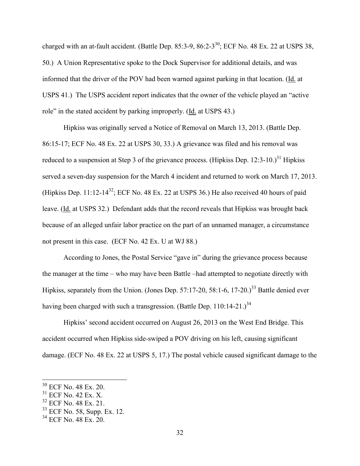charged with an at-fault accident. (Battle Dep. 85:3-9, 86:2-3<sup>30</sup>; ECF No. 48 Ex. 22 at USPS 38, 50.) A Union Representative spoke to the Dock Supervisor for additional details, and was informed that the driver of the POV had been warned against parking in that location. (Id. at USPS 41.) The USPS accident report indicates that the owner of the vehicle played an "active role" in the stated accident by parking improperly. (Id. at USPS 43.)

Hipkiss was originally served a Notice of Removal on March 13, 2013. (Battle Dep. 86:15-17; ECF No. 48 Ex. 22 at USPS 30, 33.) A grievance was filed and his removal was reduced to a suspension at Step 3 of the grievance process. (Hipkiss Dep. 12:3-10.)<sup>31</sup> Hipkiss served a seven-day suspension for the March 4 incident and returned to work on March 17, 2013. (Hipkiss Dep. 11:12-14<sup>32</sup>; ECF No. 48 Ex. 22 at USPS 36.) He also received 40 hours of paid leave. (Id. at USPS 32.) Defendant adds that the record reveals that Hipkiss was brought back because of an alleged unfair labor practice on the part of an unnamed manager, a circumstance not present in this case. (ECF No. 42 Ex. U at WJ 88.)

According to Jones, the Postal Service "gave in" during the grievance process because the manager at the time – who may have been Battle –had attempted to negotiate directly with Hipkiss, separately from the Union. (Jones Dep. 57:17-20, 58:1-6, 17-20.)<sup>33</sup> Battle denied ever having been charged with such a transgression. (Battle Dep. 110:14-21.)<sup>34</sup>

Hipkiss' second accident occurred on August 26, 2013 on the West End Bridge. This accident occurred when Hipkiss side-swiped a POV driving on his left, causing significant damage. (ECF No. 48 Ex. 22 at USPS 5, 17.) The postal vehicle caused significant damage to the

 $30$  ECF No. 48 Ex. 20.

 $31$  ECF No. 42 Ex. X.

 $32$  ECF No. 48 Ex. 21.

 $33$  ECF No. 58, Supp. Ex. 12.

<sup>34</sup> ECF No. 48 Ex. 20.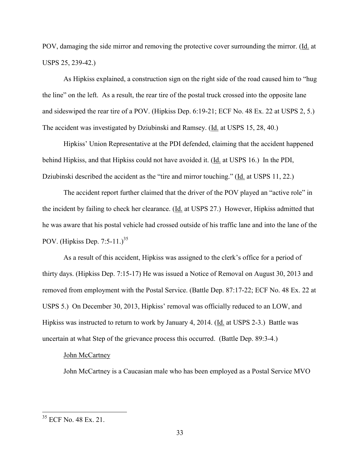POV, damaging the side mirror and removing the protective cover surrounding the mirror. (Id. at USPS 25, 239-42.)

As Hipkiss explained, a construction sign on the right side of the road caused him to "hug the line" on the left. As a result, the rear tire of the postal truck crossed into the opposite lane and sideswiped the rear tire of a POV. (Hipkiss Dep. 6:19-21; ECF No. 48 Ex. 22 at USPS 2, 5.) The accident was investigated by Dziubinski and Ramsey. (Id. at USPS 15, 28, 40.)

Hipkiss' Union Representative at the PDI defended, claiming that the accident happened behind Hipkiss, and that Hipkiss could not have avoided it. (Id. at USPS 16.) In the PDI, Dziubinski described the accident as the "tire and mirror touching." (Id. at USPS 11, 22.)

The accident report further claimed that the driver of the POV played an "active role" in the incident by failing to check her clearance. (Id. at USPS 27.) However, Hipkiss admitted that he was aware that his postal vehicle had crossed outside of his traffic lane and into the lane of the POV. (Hipkiss Dep. 7:5-11.) $35$ 

As a result of this accident, Hipkiss was assigned to the clerk's office for a period of thirty days. (Hipkiss Dep. 7:15-17) He was issued a Notice of Removal on August 30, 2013 and removed from employment with the Postal Service. (Battle Dep. 87:17-22; ECF No. 48 Ex. 22 at USPS 5.) On December 30, 2013, Hipkiss' removal was officially reduced to an LOW, and Hipkiss was instructed to return to work by January 4, 2014. (Id. at USPS 2-3.) Battle was uncertain at what Step of the grievance process this occurred. (Battle Dep. 89:3-4.)

#### John McCartney

John McCartney is a Caucasian male who has been employed as a Postal Service MVO

<sup>&</sup>lt;sup>35</sup> ECF No. 48 Ex. 21.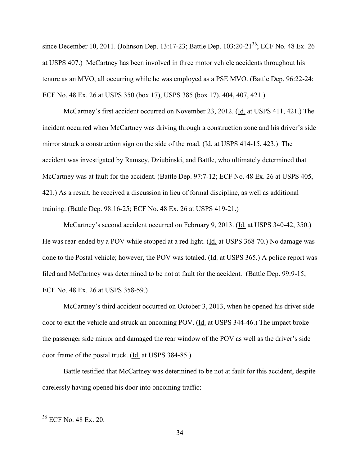since December 10, 2011. (Johnson Dep. 13:17-23; Battle Dep. 103:20-21<sup>36</sup>; ECF No. 48 Ex. 26 at USPS 407.) McCartney has been involved in three motor vehicle accidents throughout his tenure as an MVO, all occurring while he was employed as a PSE MVO. (Battle Dep. 96:22-24; ECF No. 48 Ex. 26 at USPS 350 (box 17), USPS 385 (box 17), 404, 407, 421.)

McCartney's first accident occurred on November 23, 2012. (Id. at USPS 411, 421.) The incident occurred when McCartney was driving through a construction zone and his driver's side mirror struck a construction sign on the side of the road. (Id. at USPS 414-15, 423.) The accident was investigated by Ramsey, Dziubinski, and Battle, who ultimately determined that McCartney was at fault for the accident. (Battle Dep. 97:7-12; ECF No. 48 Ex. 26 at USPS 405, 421.) As a result, he received a discussion in lieu of formal discipline, as well as additional training. (Battle Dep. 98:16-25; ECF No. 48 Ex. 26 at USPS 419-21.)

McCartney's second accident occurred on February 9, 2013. (Id. at USPS 340-42, 350.) He was rear-ended by a POV while stopped at a red light. (Id. at USPS 368-70.) No damage was done to the Postal vehicle; however, the POV was totaled. (Id. at USPS 365.) A police report was filed and McCartney was determined to be not at fault for the accident. (Battle Dep. 99:9-15; ECF No. 48 Ex. 26 at USPS 358-59.)

McCartney's third accident occurred on October 3, 2013, when he opened his driver side door to exit the vehicle and struck an oncoming POV. (Id. at USPS 344-46.) The impact broke the passenger side mirror and damaged the rear window of the POV as well as the driver's side door frame of the postal truck. (Id. at USPS 384-85.)

Battle testified that McCartney was determined to be not at fault for this accident, despite carelessly having opened his door into oncoming traffic:

<sup>36</sup> ECF No. 48 Ex. 20.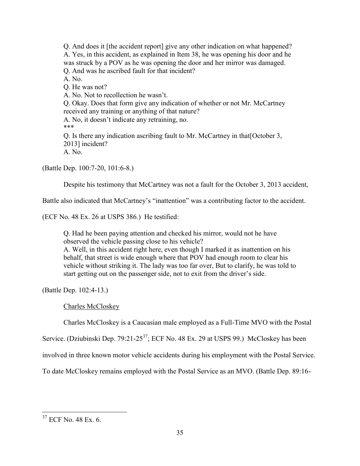Q. And does it [the accident report] give any other indication on what happened? A. Yes, in this accident, as explained in Item 38, he was opening his door and he was struck by a POV as he was opening the door and her mirror was damaged. Q. And was he ascribed fault for that incident? A. No. Q. He was not? A. No. Not to recollection he wasn't. Q. Okay. Does that form give any indication of whether or not Mr. McCartney received any training or anything of that nature? A. No, it doesn't indicate any retraining, no. \*\*\* Q. Is there any indication ascribing fault to Mr. McCartney in that[October 3, 2013] incident?

A. No.

(Battle Dep. 100:7-20, 101:6-8.)

Despite his testimony that McCartney was not a fault for the October 3, 2013 accident,

Battle also indicated that McCartney's "inattention" was a contributing factor to the accident.

(ECF No. 48 Ex. 26 at USPS 386.) He testified:

Q. Had he been paying attention and checked his mirror, would not he have observed the vehicle passing close to his vehicle?

A. Well, in this accident right here, even though I marked it as inattention on his behalf, that street is wide enough where that POV had enough room to clear his vehicle without striking it. The lady was too far over, But to clarify, he was told to start getting out on the passenger side, not to exit from the driver's side.

(Battle Dep. 102:4-13.)

### Charles McCloskey

Charles McCloskey is a Caucasian male employed as a Full-Time MVO with the Postal

Service. (Dziubinski Dep. 79:21-25<sup>37</sup>; ECF No. 48 Ex. 29 at USPS 99.) McCloskey has been

involved in three known motor vehicle accidents during his employment with the Postal Service.

To date McCloskey remains employed with the Postal Service as an MVO. (Battle Dep. 89:16-

<sup>&</sup>lt;sup>37</sup> ECF No. 48 Ex. 6.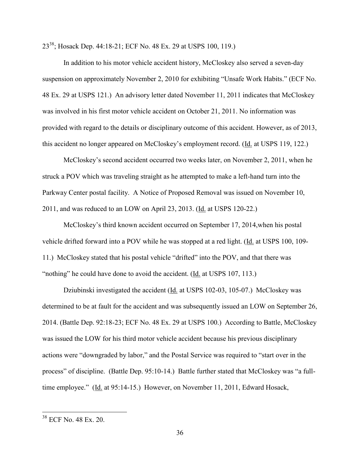23<sup>38</sup>; Hosack Dep. 44:18-21; ECF No. 48 Ex. 29 at USPS 100, 119.)

In addition to his motor vehicle accident history, McCloskey also served a seven-day suspension on approximately November 2, 2010 for exhibiting "Unsafe Work Habits." (ECF No. 48 Ex. 29 at USPS 121.) An advisory letter dated November 11, 2011 indicates that McCloskey was involved in his first motor vehicle accident on October 21, 2011. No information was provided with regard to the details or disciplinary outcome of this accident. However, as of 2013, this accident no longer appeared on McCloskey's employment record. (Id. at USPS 119, 122.)

McCloskey's second accident occurred two weeks later, on November 2, 2011, when he struck a POV which was traveling straight as he attempted to make a left-hand turn into the Parkway Center postal facility. A Notice of Proposed Removal was issued on November 10, 2011, and was reduced to an LOW on April 23, 2013. (Id. at USPS 120-22.)

McCloskey's third known accident occurred on September 17, 2014,when his postal vehicle drifted forward into a POV while he was stopped at a red light. (Id. at USPS 100, 109-11.) McCloskey stated that his postal vehicle "drifted" into the POV, and that there was "nothing" he could have done to avoid the accident. (Id. at USPS 107, 113.)

Dziubinski investigated the accident (Id. at USPS 102-03, 105-07.) McCloskey was determined to be at fault for the accident and was subsequently issued an LOW on September 26, 2014. (Battle Dep. 92:18-23; ECF No. 48 Ex. 29 at USPS 100.) According to Battle, McCloskey was issued the LOW for his third motor vehicle accident because his previous disciplinary actions were "downgraded by labor," and the Postal Service was required to "start over in the process" of discipline. (Battle Dep. 95:10-14.) Battle further stated that McCloskey was "a fulltime employee." (Id. at 95:14-15.) However, on November 11, 2011, Edward Hosack,

<sup>38</sup> ECF No. 48 Ex. 20.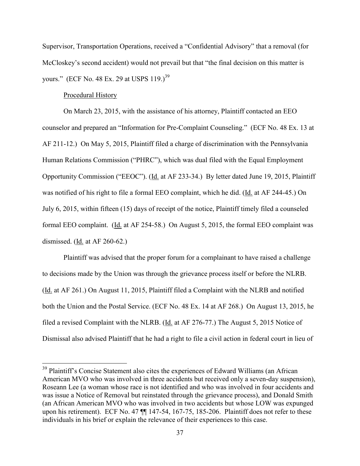Supervisor, Transportation Operations, received a "Confidential Advisory" that a removal (for McCloskey's second accident) would not prevail but that "the final decision on this matter is vours." (ECF No. 48 Ex. 29 at USPS 119.)<sup>39</sup>

#### Procedural History

 $\overline{a}$ 

On March 23, 2015, with the assistance of his attorney, Plaintiff contacted an EEO counselor and prepared an "Information for Pre-Complaint Counseling." (ECF No. 48 Ex. 13 at AF 211-12.) On May 5, 2015, Plaintiff filed a charge of discrimination with the Pennsylvania Human Relations Commission ("PHRC"), which was dual filed with the Equal Employment Opportunity Commission ("EEOC"). (Id. at AF 233-34.) By letter dated June 19, 2015, Plaintiff was notified of his right to file a formal EEO complaint, which he did. (Id. at AF 244-45.) On July 6, 2015, within fifteen (15) days of receipt of the notice, Plaintiff timely filed a counseled formal EEO complaint. (Id. at AF 254-58.) On August 5, 2015, the formal EEO complaint was dismissed. (Id. at AF 260-62.)

Plaintiff was advised that the proper forum for a complainant to have raised a challenge to decisions made by the Union was through the grievance process itself or before the NLRB. (Id. at AF 261.) On August 11, 2015, Plaintiff filed a Complaint with the NLRB and notified both the Union and the Postal Service. (ECF No. 48 Ex. 14 at AF 268.) On August 13, 2015, he filed a revised Complaint with the NLRB. (Id. at AF 276-77.) The August 5, 2015 Notice of Dismissal also advised Plaintiff that he had a right to file a civil action in federal court in lieu of

<sup>&</sup>lt;sup>39</sup> Plaintiff's Concise Statement also cites the experiences of Edward Williams (an African American MVO who was involved in three accidents but received only a seven-day suspension), Roseann Lee (a woman whose race is not identified and who was involved in four accidents and was issue a Notice of Removal but reinstated through the grievance process), and Donald Smith (an African American MVO who was involved in two accidents but whose LOW was expunged upon his retirement). ECF No. 47  $\P$  147-54, 167-75, 185-206. Plaintiff does not refer to these individuals in his brief or explain the relevance of their experiences to this case.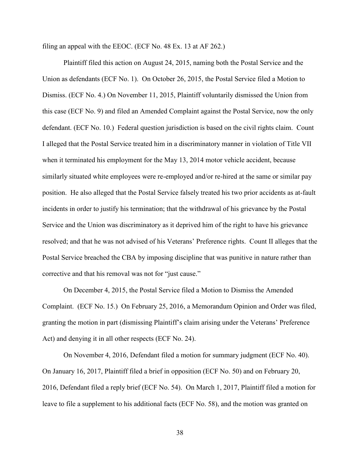filing an appeal with the EEOC. (ECF No. 48 Ex. 13 at AF 262.)

Plaintiff filed this action on August 24, 2015, naming both the Postal Service and the Union as defendants (ECF No. 1). On October 26, 2015, the Postal Service filed a Motion to Dismiss. (ECF No. 4.) On November 11, 2015, Plaintiff voluntarily dismissed the Union from this case (ECF No. 9) and filed an Amended Complaint against the Postal Service, now the only defendant. (ECF No. 10.) Federal question jurisdiction is based on the civil rights claim. Count I alleged that the Postal Service treated him in a discriminatory manner in violation of Title VII when it terminated his employment for the May 13, 2014 motor vehicle accident, because similarly situated white employees were re-employed and/or re-hired at the same or similar pay position. He also alleged that the Postal Service falsely treated his two prior accidents as at-fault incidents in order to justify his termination; that the withdrawal of his grievance by the Postal Service and the Union was discriminatory as it deprived him of the right to have his grievance resolved; and that he was not advised of his Veterans' Preference rights. Count II alleges that the Postal Service breached the CBA by imposing discipline that was punitive in nature rather than corrective and that his removal was not for "just cause."

On December 4, 2015, the Postal Service filed a Motion to Dismiss the Amended Complaint. (ECF No. 15.) On February 25, 2016, a Memorandum Opinion and Order was filed, granting the motion in part (dismissing Plaintiff's claim arising under the Veterans' Preference Act) and denying it in all other respects (ECF No. 24).

On November 4, 2016, Defendant filed a motion for summary judgment (ECF No. 40). On January 16, 2017, Plaintiff filed a brief in opposition (ECF No. 50) and on February 20, 2016, Defendant filed a reply brief (ECF No. 54). On March 1, 2017, Plaintiff filed a motion for leave to file a supplement to his additional facts (ECF No. 58), and the motion was granted on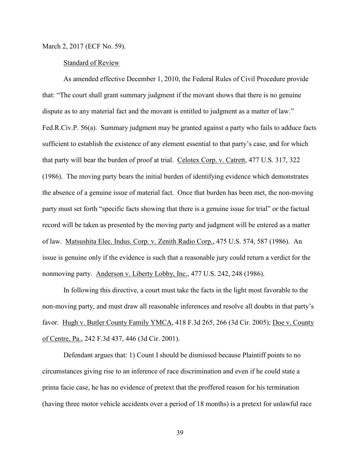March 2, 2017 (ECF No. 59).

#### Standard of Review

As amended effective December 1, 2010, the Federal Rules of Civil Procedure provide that: "The court shall grant summary judgment if the movant shows that there is no genuine dispute as to any material fact and the movant is entitled to judgment as a matter of law." Fed.R.Civ.P. 56(a). Summary judgment may be granted against a party who fails to adduce facts sufficient to establish the existence of any element essential to that party's case, and for which that party will bear the burden of proof at trial. Celotex Corp. v. Catrett, 477 U.S. 317, 322 (1986). The moving party bears the initial burden of identifying evidence which demonstrates the absence of a genuine issue of material fact. Once that burden has been met, the non-moving party must set forth "specific facts showing that there is a genuine issue for trial" or the factual record will be taken as presented by the moving party and judgment will be entered as a matter of law. Matsushita Elec. Indus. Corp. v. Zenith Radio Corp., 475 U.S. 574, 587 (1986). An issue is genuine only if the evidence is such that a reasonable jury could return a verdict for the nonmoving party. Anderson v. Liberty Lobby, Inc., 477 U.S. 242, 248 (1986).

In following this directive, a court must take the facts in the light most favorable to the non-moving party, and must draw all reasonable inferences and resolve all doubts in that party's favor. Hugh v. Butler County Family YMCA, 418 F.3d 265, 266 (3d Cir. 2005); Doe v. County of Centre, Pa., 242 F.3d 437, 446 (3d Cir. 2001).

Defendant argues that: 1) Count I should be dismissed because Plaintiff points to no circumstances giving rise to an inference of race discrimination and even if he could state a prima facie case, he has no evidence of pretext that the proffered reason for his termination (having three motor vehicle accidents over a period of 18 months) is a pretext for unlawful race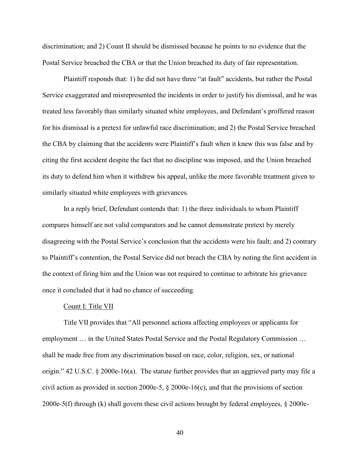discrimination; and 2) Count II should be dismissed because he points to no evidence that the Postal Service breached the CBA or that the Union breached its duty of fair representation.

Plaintiff responds that: 1) he did not have three "at fault" accidents, but rather the Postal Service exaggerated and misrepresented the incidents in order to justify his dismissal, and he was treated less favorably than similarly situated white employees, and Defendant's proffered reason for his dismissal is a pretext for unlawful race discrimination; and 2) the Postal Service breached the CBA by claiming that the accidents were Plaintiff's fault when it knew this was false and by citing the first accident despite the fact that no discipline was imposed, and the Union breached its duty to defend him when it withdrew his appeal, unlike the more favorable treatment given to similarly situated white employees with grievances.

In a reply brief, Defendant contends that: 1) the three individuals to whom Plaintiff compares himself are not valid comparators and he cannot demonstrate pretext by merely disagreeing with the Postal Service's conclusion that the accidents were his fault; and 2) contrary to Plaintiff's contention, the Postal Service did not breach the CBA by noting the first accident in the context of firing him and the Union was not required to continue to arbitrate his grievance once it concluded that it had no chance of succeeding.

#### Count I: Title VII

Title VII provides that "All personnel actions affecting employees or applicants for employment … in the United States Postal Service and the Postal Regulatory Commission … shall be made free from any discrimination based on race, color, religion, sex, or national origin." 42 U.S.C.  $\S$  2000e-16(a). The statute further provides that an aggrieved party may file a civil action as provided in section 2000e-5, § 2000e-16(c), and that the provisions of section 2000e-5(f) through (k) shall govern these civil actions brought by federal employees, § 2000e-

40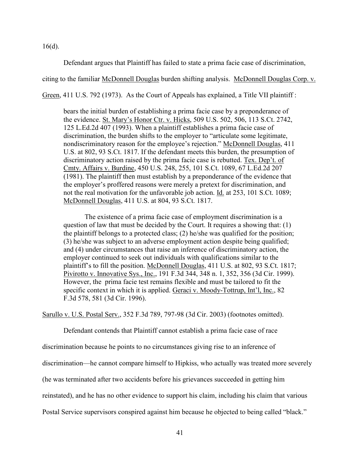$16(d)$ .

Defendant argues that Plaintiff has failed to state a prima facie case of discrimination,

citing to the familiar McDonnell Douglas burden shifting analysis. McDonnell Douglas Corp. v.

Green, 411 U.S. 792 (1973). As the Court of Appeals has explained, a Title VII plaintiff :

bears the initial burden of establishing a prima facie case by a preponderance of the evidence. St. Mary's Honor Ctr. v. Hicks, 509 U.S. 502, 506, 113 S.Ct. 2742, 125 L.Ed.2d 407 (1993). When a plaintiff establishes a prima facie case of discrimination, the burden shifts to the employer to "articulate some legitimate, nondiscriminatory reason for the employee's rejection." McDonnell Douglas, 411 U.S. at 802, 93 S.Ct. 1817. If the defendant meets this burden, the presumption of discriminatory action raised by the prima facie case is rebutted. Tex. Dep't. of Cmty. Affairs v. Burdine, 450 U.S. 248, 255, 101 S.Ct. 1089, 67 L.Ed.2d 207 (1981). The plaintiff then must establish by a preponderance of the evidence that the employer's proffered reasons were merely a pretext for discrimination, and not the real motivation for the unfavorable job action. Id. at 253, 101 S.Ct. 1089; McDonnell Douglas, 411 U.S. at 804, 93 S.Ct. 1817.

The existence of a prima facie case of employment discrimination is a question of law that must be decided by the Court. It requires a showing that: (1) the plaintiff belongs to a protected class; (2) he/she was qualified for the position; (3) he/she was subject to an adverse employment action despite being qualified; and (4) under circumstances that raise an inference of discriminatory action, the employer continued to seek out individuals with qualifications similar to the plaintiff's to fill the position. McDonnell Douglas, 411 U.S. at 802, 93 S.Ct. 1817; Pivirotto v. Innovative Sys., Inc., 191 F.3d 344, 348 n. 1, 352, 356 (3d Cir. 1999). However, the prima facie test remains flexible and must be tailored to fit the specific context in which it is applied. Geraci v. Moody-Tottrup, Int'l, Inc., 82 F.3d 578, 581 (3d Cir. 1996).

Sarullo v. U.S. Postal Serv., 352 F.3d 789, 797-98 (3d Cir. 2003) (footnotes omitted).

Defendant contends that Plaintiff cannot establish a prima facie case of race

discrimination because he points to no circumstances giving rise to an inference of

discrimination—he cannot compare himself to Hipkiss, who actually was treated more severely

(he was terminated after two accidents before his grievances succeeded in getting him

reinstated), and he has no other evidence to support his claim, including his claim that various

Postal Service supervisors conspired against him because he objected to being called "black."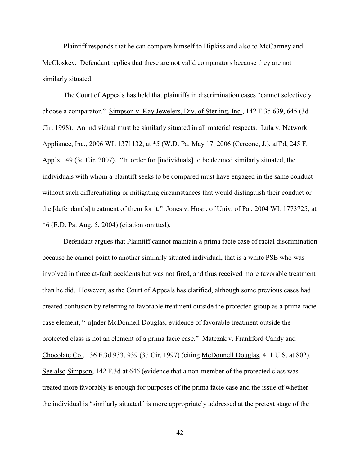Plaintiff responds that he can compare himself to Hipkiss and also to McCartney and McCloskey. Defendant replies that these are not valid comparators because they are not similarly situated.

The Court of Appeals has held that plaintiffs in discrimination cases "cannot selectively choose a comparator." Simpson v. Kay Jewelers, Div. of Sterling, Inc., 142 F.3d 639, 645 (3d Cir. 1998). An individual must be similarly situated in all material respects. Lula v. Network Appliance, Inc., 2006 WL 1371132, at \*5 (W.D. Pa. May 17, 2006 (Cercone, J.), aff'd, 245 F. App'x 149 (3d Cir. 2007). "In order for [individuals] to be deemed similarly situated, the individuals with whom a plaintiff seeks to be compared must have engaged in the same conduct without such differentiating or mitigating circumstances that would distinguish their conduct or the [defendant's] treatment of them for it." Jones v. Hosp. of Univ. of Pa., 2004 WL 1773725, at \*6 (E.D. Pa. Aug. 5, 2004) (citation omitted).

Defendant argues that Plaintiff cannot maintain a prima facie case of racial discrimination because he cannot point to another similarly situated individual, that is a white PSE who was involved in three at-fault accidents but was not fired, and thus received more favorable treatment than he did. However, as the Court of Appeals has clarified, although some previous cases had created confusion by referring to favorable treatment outside the protected group as a prima facie case element, "[u]nder McDonnell Douglas, evidence of favorable treatment outside the protected class is not an element of a prima facie case." Matczak v. Frankford Candy and Chocolate Co., 136 F.3d 933, 939 (3d Cir. 1997) (citing McDonnell Douglas, 411 U.S. at 802). See also Simpson, 142 F.3d at 646 (evidence that a non-member of the protected class was treated more favorably is enough for purposes of the prima facie case and the issue of whether the individual is "similarly situated" is more appropriately addressed at the pretext stage of the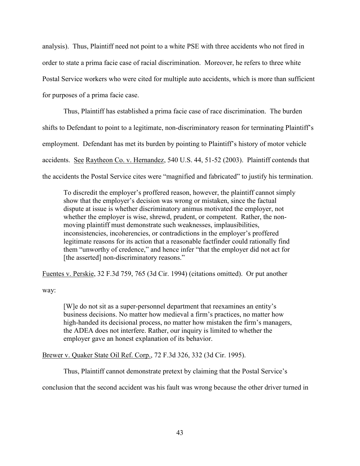analysis). Thus, Plaintiff need not point to a white PSE with three accidents who not fired in order to state a prima facie case of racial discrimination. Moreover, he refers to three white Postal Service workers who were cited for multiple auto accidents, which is more than sufficient for purposes of a prima facie case.

Thus, Plaintiff has established a prima facie case of race discrimination. The burden shifts to Defendant to point to a legitimate, non-discriminatory reason for terminating Plaintiff's employment. Defendant has met its burden by pointing to Plaintiff's history of motor vehicle accidents. See Raytheon Co. v. Hernandez, 540 U.S. 44, 51-52 (2003). Plaintiff contends that the accidents the Postal Service cites were "magnified and fabricated" to justify his termination.

To discredit the employer's proffered reason, however, the plaintiff cannot simply show that the employer's decision was wrong or mistaken, since the factual dispute at issue is whether discriminatory animus motivated the employer, not whether the employer is wise, shrewd, prudent, or competent. Rather, the nonmoving plaintiff must demonstrate such weaknesses, implausibilities, inconsistencies, incoherencies, or contradictions in the employer's proffered legitimate reasons for its action that a reasonable factfinder could rationally find them "unworthy of credence," and hence infer "that the employer did not act for [the asserted] non-discriminatory reasons."

Fuentes v. Perskie, 32 F.3d 759, 765 (3d Cir. 1994) (citations omitted). Or put another

way:

[W]e do not sit as a super-personnel department that reexamines an entity's business decisions. No matter how medieval a firm's practices, no matter how high-handed its decisional process, no matter how mistaken the firm's managers, the ADEA does not interfere. Rather, our inquiry is limited to whether the employer gave an honest explanation of its behavior.

Brewer v. Quaker State Oil Ref. Corp., 72 F.3d 326, 332 (3d Cir. 1995).

Thus, Plaintiff cannot demonstrate pretext by claiming that the Postal Service's

conclusion that the second accident was his fault was wrong because the other driver turned in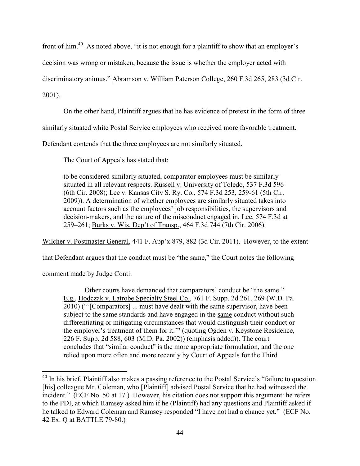front of him.<sup>40</sup> As noted above, "it is not enough for a plaintiff to show that an employer's

decision was wrong or mistaken, because the issue is whether the employer acted with

discriminatory animus." Abramson v. William Paterson College, 260 F.3d 265, 283 (3d Cir.

2001).

 $\overline{a}$ 

On the other hand, Plaintiff argues that he has evidence of pretext in the form of three

similarly situated white Postal Service employees who received more favorable treatment.

Defendant contends that the three employees are not similarly situated.

The Court of Appeals has stated that:

to be considered similarly situated, comparator employees must be similarly situated in all relevant respects. Russell v. University of Toledo, 537 F.3d 596 (6th Cir. 2008); Lee v. Kansas City S. Ry. Co., 574 F.3d 253, 259-61 (5th Cir. 2009)). A determination of whether employees are similarly situated takes into account factors such as the employees' job responsibilities, the supervisors and decision-makers, and the nature of the misconduct engaged in. Lee, 574 F.3d at 259–261; Burks v. Wis. Dep't of Transp., 464 F.3d 744 (7th Cir. 2006).

Wilcher v. Postmaster General, 441 F. App'x 879, 882 (3d Cir. 2011). However, to the extent

that Defendant argues that the conduct must be "the same," the Court notes the following

comment made by Judge Conti:

Other courts have demanded that comparators' conduct be "the same." E.g., Hodczak v. Latrobe Specialty Steel Co., 761 F. Supp. 2d 261, 269 (W.D. Pa. 2010) ("'[Comparators] ... must have dealt with the same supervisor, have been subject to the same standards and have engaged in the same conduct without such differentiating or mitigating circumstances that would distinguish their conduct or the employer's treatment of them for it.'" (quoting Ogden v. Keystone Residence, 226 F. Supp. 2d 588, 603 (M.D. Pa. 2002)) (emphasis added)). The court concludes that "similar conduct" is the more appropriate formulation, and the one relied upon more often and more recently by Court of Appeals for the Third

<sup>&</sup>lt;sup>40</sup> In his brief, Plaintiff also makes a passing reference to the Postal Service's "failure to question [his] colleague Mr. Coleman, who [Plaintiff] advised Postal Service that he had witnessed the incident." (ECF No. 50 at 17.) However, his citation does not support this argument: he refers to the PDI, at which Ramsey asked him if he (Plaintiff) had any questions and Plaintiff asked if he talked to Edward Coleman and Ramsey responded "I have not had a chance yet." (ECF No. 42 Ex. Q at BATTLE 79-80.)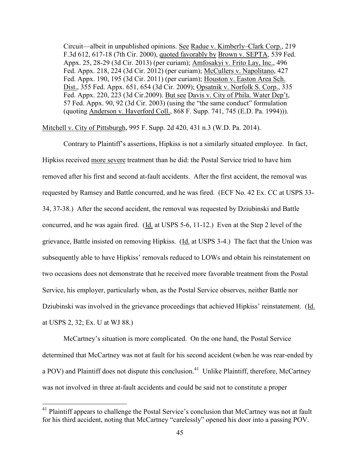Circuit—albeit in unpublished opinions. See Radue v. Kimberly–Clark Corp., 219 F.3d 612, 617-18 (7th Cir. 2000), quoted favorably by Brown v. SEPTA, 539 Fed. Appx. 25, 28-29 (3d Cir. 2013) (per curiam); Amfosakyi v. Frito Lay, Inc., 496 Fed. Appx. 218, 224 (3d Cir. 2012) (per curiam); McCullers v. Napolitano, 427 Fed. Appx. 190, 195 (3d Cir. 2011) (per curiam); Houston v. Easton Area Sch. Dist., 355 Fed. Appx. 651, 654 (3d Cir. 2009); Opsatnik v. Norfolk S. Corp., 335 Fed. Appx. 220, 223 (3d Cir.2009). But see Davis v. City of Phila. Water Dep't, 57 Fed. Appx. 90, 92 (3d Cir. 2003) (using the "the same conduct" formulation (quoting Anderson v. Haverford Coll., 868 F. Supp. 741, 745 (E.D. Pa. 1994))).

Mitchell v. City of Pittsburgh, 995 F. Supp. 2d 420, 431 n.3 (W.D. Pa. 2014).

Contrary to Plaintiff's assertions, Hipkiss is not a similarly situated employee. In fact, Hipkiss received more severe treatment than he did: the Postal Service tried to have him removed after his first and second at-fault accidents. After the first accident, the removal was requested by Ramsey and Battle concurred, and he was fired. (ECF No. 42 Ex. CC at USPS 33- 34, 37-38.) After the second accident, the removal was requested by Dziubinski and Battle concurred, and he was again fired. (Id. at USPS 5-6, 11-12.) Even at the Step 2 level of the grievance, Battle insisted on removing Hipkiss. (Id. at USPS 3-4.) The fact that the Union was subsequently able to have Hipkiss' removals reduced to LOWs and obtain his reinstatement on two occasions does not demonstrate that he received more favorable treatment from the Postal Service, his employer, particularly when, as the Postal Service observes, neither Battle nor Dziubinski was involved in the grievance proceedings that achieved Hipkiss' reinstatement. (Id. at USPS 2, 32; Ex. U at WJ 88.)

McCartney's situation is more complicated. On the one hand, the Postal Service determined that McCartney was not at fault for his second accident (when he was rear-ended by a POV) and Plaintiff does not dispute this conclusion.<sup>41</sup> Unlike Plaintiff, therefore, McCartney was not involved in three at-fault accidents and could be said not to constitute a proper

<sup>&</sup>lt;sup>41</sup> Plaintiff appears to challenge the Postal Service's conclusion that McCartney was not at fault for his third accident, noting that McCartney "carelessly" opened his door into a passing POV.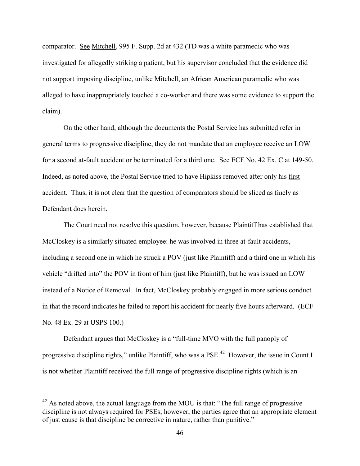comparator. See Mitchell, 995 F. Supp. 2d at 432 (TD was a white paramedic who was investigated for allegedly striking a patient, but his supervisor concluded that the evidence did not support imposing discipline, unlike Mitchell, an African American paramedic who was alleged to have inappropriately touched a co-worker and there was some evidence to support the claim).

On the other hand, although the documents the Postal Service has submitted refer in general terms to progressive discipline, they do not mandate that an employee receive an LOW for a second at-fault accident or be terminated for a third one. See ECF No. 42 Ex. C at 149-50. Indeed, as noted above, the Postal Service tried to have Hipkiss removed after only his first accident. Thus, it is not clear that the question of comparators should be sliced as finely as Defendant does herein.

The Court need not resolve this question, however, because Plaintiff has established that McCloskey is a similarly situated employee: he was involved in three at-fault accidents, including a second one in which he struck a POV (just like Plaintiff) and a third one in which his vehicle "drifted into" the POV in front of him (just like Plaintiff), but he was issued an LOW instead of a Notice of Removal. In fact, McCloskey probably engaged in more serious conduct in that the record indicates he failed to report his accident for nearly five hours afterward. (ECF No. 48 Ex. 29 at USPS 100.)

Defendant argues that McCloskey is a "full-time MVO with the full panoply of progressive discipline rights," unlike Plaintiff, who was a PSE.<sup>42</sup> However, the issue in Count I is not whether Plaintiff received the full range of progressive discipline rights (which is an

 $42$  As noted above, the actual language from the MOU is that: "The full range of progressive discipline is not always required for PSEs; however, the parties agree that an appropriate element of just cause is that discipline be corrective in nature, rather than punitive."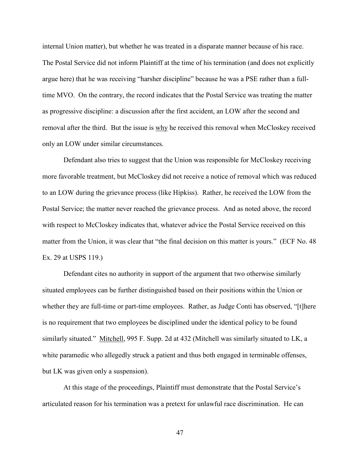internal Union matter), but whether he was treated in a disparate manner because of his race. The Postal Service did not inform Plaintiff at the time of his termination (and does not explicitly argue here) that he was receiving "harsher discipline" because he was a PSE rather than a fulltime MVO. On the contrary, the record indicates that the Postal Service was treating the matter as progressive discipline: a discussion after the first accident, an LOW after the second and removal after the third. But the issue is why he received this removal when McCloskey received only an LOW under similar circumstances.

Defendant also tries to suggest that the Union was responsible for McCloskey receiving more favorable treatment, but McCloskey did not receive a notice of removal which was reduced to an LOW during the grievance process (like Hipkiss). Rather, he received the LOW from the Postal Service; the matter never reached the grievance process. And as noted above, the record with respect to McCloskey indicates that, whatever advice the Postal Service received on this matter from the Union, it was clear that "the final decision on this matter is yours." (ECF No. 48 Ex. 29 at USPS 119.)

Defendant cites no authority in support of the argument that two otherwise similarly situated employees can be further distinguished based on their positions within the Union or whether they are full-time or part-time employees. Rather, as Judge Conti has observed, "[t]here is no requirement that two employees be disciplined under the identical policy to be found similarly situated." Mitchell, 995 F. Supp. 2d at 432 (Mitchell was similarly situated to LK, a white paramedic who allegedly struck a patient and thus both engaged in terminable offenses, but LK was given only a suspension).

At this stage of the proceedings, Plaintiff must demonstrate that the Postal Service's articulated reason for his termination was a pretext for unlawful race discrimination. He can

47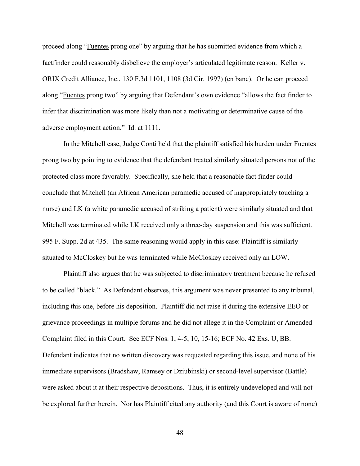proceed along "Fuentes prong one" by arguing that he has submitted evidence from which a factfinder could reasonably disbelieve the employer's articulated legitimate reason. Keller v. ORIX Credit Alliance, Inc., 130 F.3d 1101, 1108 (3d Cir. 1997) (en banc). Or he can proceed along "Fuentes prong two" by arguing that Defendant's own evidence "allows the fact finder to infer that discrimination was more likely than not a motivating or determinative cause of the adverse employment action." Id. at 1111.

In the Mitchell case, Judge Conti held that the plaintiff satisfied his burden under Fuentes prong two by pointing to evidence that the defendant treated similarly situated persons not of the protected class more favorably. Specifically, she held that a reasonable fact finder could conclude that Mitchell (an African American paramedic accused of inappropriately touching a nurse) and LK (a white paramedic accused of striking a patient) were similarly situated and that Mitchell was terminated while LK received only a three-day suspension and this was sufficient. 995 F. Supp. 2d at 435. The same reasoning would apply in this case: Plaintiff is similarly situated to McCloskey but he was terminated while McCloskey received only an LOW.

Plaintiff also argues that he was subjected to discriminatory treatment because he refused to be called "black." As Defendant observes, this argument was never presented to any tribunal, including this one, before his deposition. Plaintiff did not raise it during the extensive EEO or grievance proceedings in multiple forums and he did not allege it in the Complaint or Amended Complaint filed in this Court. See ECF Nos. 1, 4-5, 10, 15-16; ECF No. 42 Exs. U, BB. Defendant indicates that no written discovery was requested regarding this issue, and none of his immediate supervisors (Bradshaw, Ramsey or Dziubinski) or second-level supervisor (Battle) were asked about it at their respective depositions. Thus, it is entirely undeveloped and will not be explored further herein. Nor has Plaintiff cited any authority (and this Court is aware of none)

48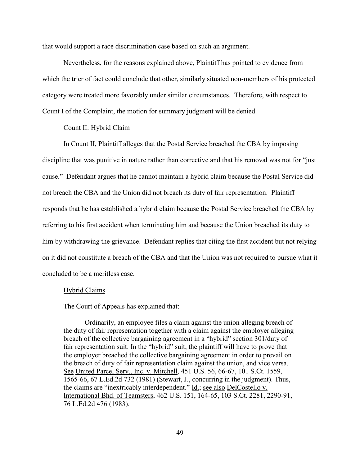that would support a race discrimination case based on such an argument.

Nevertheless, for the reasons explained above, Plaintiff has pointed to evidence from which the trier of fact could conclude that other, similarly situated non-members of his protected category were treated more favorably under similar circumstances. Therefore, with respect to Count I of the Complaint, the motion for summary judgment will be denied.

## Count II: Hybrid Claim

In Count II, Plaintiff alleges that the Postal Service breached the CBA by imposing discipline that was punitive in nature rather than corrective and that his removal was not for "just cause." Defendant argues that he cannot maintain a hybrid claim because the Postal Service did not breach the CBA and the Union did not breach its duty of fair representation. Plaintiff responds that he has established a hybrid claim because the Postal Service breached the CBA by referring to his first accident when terminating him and because the Union breached its duty to him by withdrawing the grievance. Defendant replies that citing the first accident but not relying on it did not constitute a breach of the CBA and that the Union was not required to pursue what it concluded to be a meritless case.

#### Hybrid Claims

The Court of Appeals has explained that:

Ordinarily, an employee files a claim against the union alleging breach of the duty of fair representation together with a claim against the employer alleging breach of the collective bargaining agreement in a "hybrid" section 301/duty of fair representation suit. In the "hybrid" suit, the plaintiff will have to prove that the employer breached the collective bargaining agreement in order to prevail on the breach of duty of fair representation claim against the union, and vice versa. See United Parcel Serv., Inc. v. Mitchell, 451 U.S. 56, 66-67, 101 S.Ct. 1559, 1565-66, 67 L.Ed.2d 732 (1981) (Stewart, J., concurring in the judgment). Thus, the claims are "inextricably interdependent." Id.; see also DelCostello v. International Bhd. of Teamsters, 462 U.S. 151, 164-65, 103 S.Ct. 2281, 2290-91, 76 L.Ed.2d 476 (1983).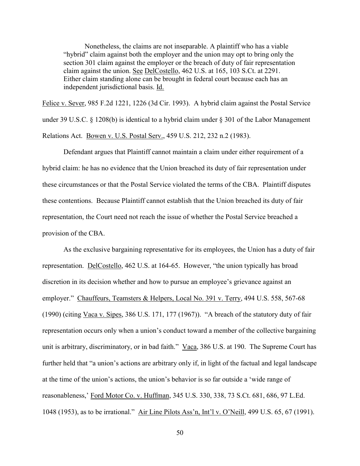Nonetheless, the claims are not inseparable. A plaintiff who has a viable "hybrid" claim against both the employer and the union may opt to bring only the section 301 claim against the employer or the breach of duty of fair representation claim against the union. See DelCostello, 462 U.S. at 165, 103 S.Ct. at 2291. Either claim standing alone can be brought in federal court because each has an independent jurisdictional basis. Id.

Felice v. Sever, 985 F.2d 1221, 1226 (3d Cir. 1993). A hybrid claim against the Postal Service under 39 U.S.C. § 1208(b) is identical to a hybrid claim under § 301 of the Labor Management Relations Act. Bowen v. U.S. Postal Serv., 459 U.S. 212, 232 n.2 (1983).

Defendant argues that Plaintiff cannot maintain a claim under either requirement of a hybrid claim: he has no evidence that the Union breached its duty of fair representation under these circumstances or that the Postal Service violated the terms of the CBA. Plaintiff disputes these contentions. Because Plaintiff cannot establish that the Union breached its duty of fair representation, the Court need not reach the issue of whether the Postal Service breached a provision of the CBA.

As the exclusive bargaining representative for its employees, the Union has a duty of fair representation. DelCostello, 462 U.S. at 164-65. However, "the union typically has broad discretion in its decision whether and how to pursue an employee's grievance against an employer." Chauffeurs, Teamsters & Helpers, Local No. 391 v. Terry, 494 U.S. 558, 567-68 (1990) (citing Vaca v. Sipes, 386 U.S. 171, 177 (1967)). "A breach of the statutory duty of fair representation occurs only when a union's conduct toward a member of the collective bargaining unit is arbitrary, discriminatory, or in bad faith." Vaca, 386 U.S. at 190. The Supreme Court has further held that "a union's actions are arbitrary only if, in light of the factual and legal landscape at the time of the union's actions, the union's behavior is so far outside a 'wide range of reasonableness,' Ford Motor Co. v. Huffman, 345 U.S. 330, 338, 73 S.Ct. 681, 686, 97 L.Ed. 1048 (1953), as to be irrational." Air Line Pilots Ass'n, Int'l v. O'Neill, 499 U.S. 65, 67 (1991).

50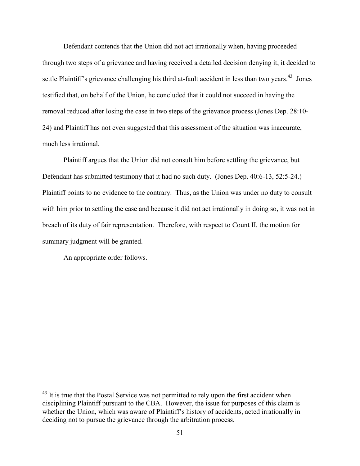Defendant contends that the Union did not act irrationally when, having proceeded through two steps of a grievance and having received a detailed decision denying it, it decided to settle Plaintiff's grievance challenging his third at-fault accident in less than two years.<sup>43</sup> Jones testified that, on behalf of the Union, he concluded that it could not succeed in having the removal reduced after losing the case in two steps of the grievance process (Jones Dep. 28:10- 24) and Plaintiff has not even suggested that this assessment of the situation was inaccurate, much less irrational.

Plaintiff argues that the Union did not consult him before settling the grievance, but Defendant has submitted testimony that it had no such duty. (Jones Dep. 40:6-13, 52:5-24.) Plaintiff points to no evidence to the contrary. Thus, as the Union was under no duty to consult with him prior to settling the case and because it did not act irrationally in doing so, it was not in breach of its duty of fair representation. Therefore, with respect to Count II, the motion for summary judgment will be granted.

An appropriate order follows.

 $43$  It is true that the Postal Service was not permitted to rely upon the first accident when disciplining Plaintiff pursuant to the CBA. However, the issue for purposes of this claim is whether the Union, which was aware of Plaintiff's history of accidents, acted irrationally in deciding not to pursue the grievance through the arbitration process.